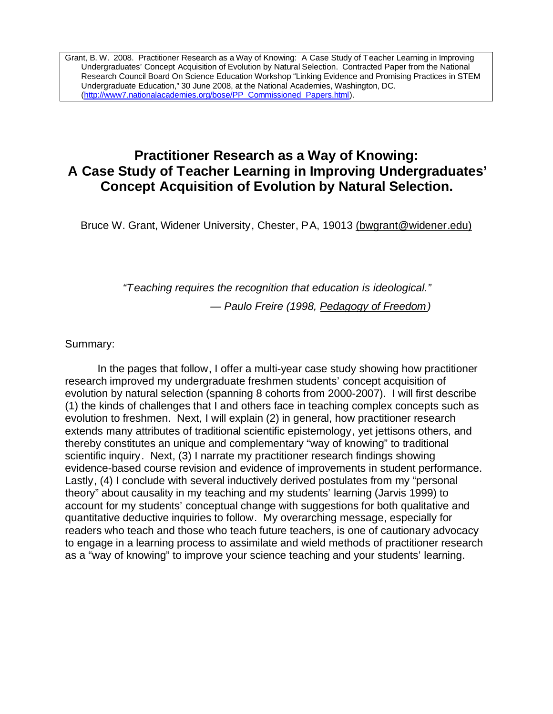Grant, B. W. 2008. Practitioner Research as a Way of Knowing: A Case Study of Teacher Learning in Improving Undergraduates' Concept Acquisition of Evolution by Natural Selection. Contracted Paper from the National Research Council Board On Science Education Workshop "Linking Evidence and Promising Practices in STEM Undergraduate Education," 30 June 2008, at the National Academies, Washington, DC. [\(http://www7.nationalacademies.org/bose/PP\\_Commissioned\\_Papers.html](http://www7.nationalacademies.org/bose/PP_Commissioned_Papers.html)).

# **Practitioner Research as a Way of Knowing: A Case Study of Teacher Learning in Improving Undergraduates' Concept Acquisition of Evolution by Natural Selection.**

Bruce W. Grant, Widener University, Chester, PA, 19013 [\(bwgrant@widener.edu\)](mailto:(bwgrant@widener.edu))

*"Teaching requires the recognition that education is ideological."* 

*— Paulo Freire (1998, Pedagogy of Freedom)* 

Summary:

In the pages that follow, I offer a multi-year case study showing how practitioner research improved my undergraduate freshmen students' concept acquisition of evolution by natural selection (spanning 8 cohorts from 2000-2007). I will first describe (1) the kinds of challenges that I and others face in teaching complex concepts such as evolution to freshmen. Next, I will explain (2) in general, how practitioner research extends many attributes of traditional scientific epistemology, yet jettisons others, and thereby constitutes an unique and complementary "way of knowing" to traditional scientific inquiry. Next, (3) I narrate my practitioner research findings showing evidence-based course revision and evidence of improvements in student performance. Lastly, (4) I conclude with several inductively derived postulates from my "personal theory" about causality in my teaching and my students' learning (Jarvis 1999) to account for my students' conceptual change with suggestions for both qualitative and quantitative deductive inquiries to follow. My overarching message, especially for readers who teach and those who teach future teachers, is one of cautionary advocacy to engage in a learning process to assimilate and wield methods of practitioner research as a "way of knowing" to improve your science teaching and your students' learning.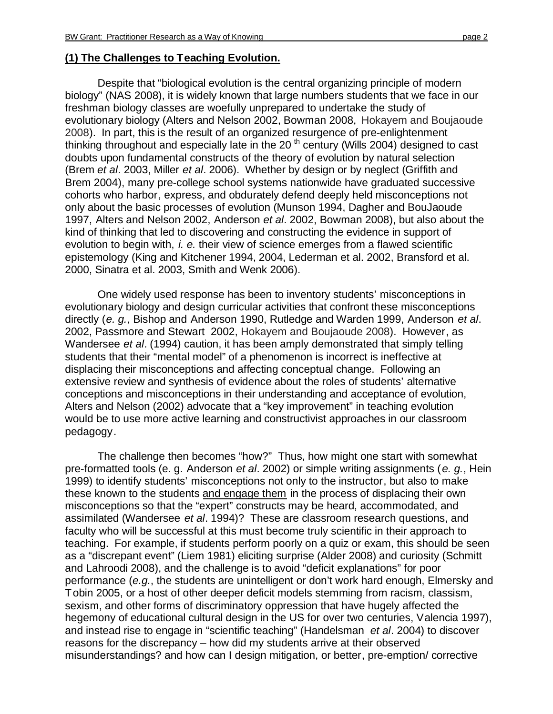#### **(1) The Challenges to Teaching Evolution.**

Despite that "biological evolution is the central organizing principle of modern biology" (NAS 2008), it is widely known that large numbers students that we face in our freshman biology classes are woefully unprepared to undertake the study of evolutionary biology (Alters and Nelson 2002, Bowman 2008, Hokayem and Boujaoude 2008). In part, this is the result of an organized resurgence of pre-enlightenment thinking throughout and especially late in the 20<sup>th</sup> century (Wills 2004) designed to cast doubts upon fundamental constructs of the theory of evolution by natural selection (Brem *et al*. 2003, Miller *et al*. 2006). Whether by design or by neglect (Griffith and Brem 2004), many pre-college school systems nationwide have graduated successive cohorts who harbor, express, and obdurately defend deeply held misconceptions not only about the basic processes of evolution (Munson 1994, Dagher and BouJaoude 1997, Alters and Nelson 2002, Anderson *et al*. 2002, Bowman 2008), but also about the kind of thinking that led to discovering and constructing the evidence in support of evolution to begin with, *i. e.* their view of science emerges from a flawed scientific epistemology (King and Kitchener 1994, 2004, Lederman et al. 2002, Bransford et al. 2000, Sinatra et al. 2003, Smith and Wenk 2006).

One widely used response has been to inventory students' misconceptions in evolutionary biology and design curricular activities that confront these misconceptions directly (*e. g.*, Bishop and Anderson 1990, Rutledge and Warden 1999, Anderson *et al*. 2002, Passmore and Stewart 2002, Hokayem and Boujaoude 2008). However, as Wandersee *et al*. (1994) caution, it has been amply demonstrated that simply telling students that their "mental model" of a phenomenon is incorrect is ineffective at displacing their misconceptions and affecting conceptual change. Following an extensive review and synthesis of evidence about the roles of students' alternative conceptions and misconceptions in their understanding and acceptance of evolution, Alters and Nelson (2002) advocate that a "key improvement" in teaching evolution would be to use more active learning and constructivist approaches in our classroom pedagogy.

The challenge then becomes "how?" Thus, how might one start with somewhat pre-formatted tools (e. g. Anderson *et al*. 2002) or simple writing assignments (*e. g.*, Hein 1999) to identify students' misconceptions not only to the instructor, but also to make these known to the students and engage them in the process of displacing their own misconceptions so that the "expert" constructs may be heard, accommodated, and assimilated (Wandersee *et al*. 1994)? These are classroom research questions, and faculty who will be successful at this must become truly scientific in their approach to teaching. For example, if students perform poorly on a quiz or exam, this should be seen as a "discrepant event" (Liem 1981) eliciting surprise (Alder 2008) and curiosity (Schmitt and Lahroodi 2008), and the challenge is to avoid "deficit explanations" for poor performance (*e.g.*, the students are unintelligent or don't work hard enough, Elmersky and Tobin 2005, or a host of other deeper deficit models stemming from racism, classism, sexism, and other forms of discriminatory oppression that have hugely affected the hegemony of educational cultural design in the US for over two centuries, Valencia 1997), and instead rise to engage in "scientific teaching" (Handelsman *et al*. 2004) to discover reasons for the discrepancy – how did my students arrive at their observed misunderstandings? and how can I design mitigation, or better, pre-emption/ corrective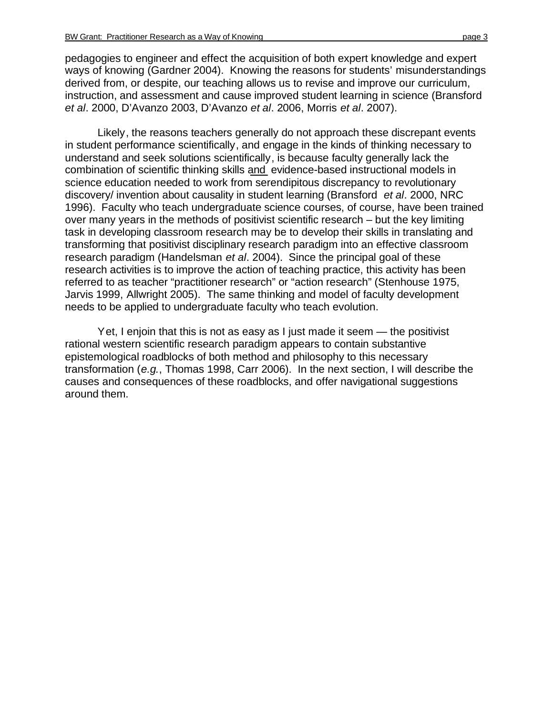pedagogies to engineer and effect the acquisition of both expert knowledge and expert ways of knowing (Gardner 2004). Knowing the reasons for students' misunderstandings derived from, or despite, our teaching allows us to revise and improve our curriculum, instruction, and assessment and cause improved student learning in science (Bransford *et al*. 2000, D'Avanzo 2003, D'Avanzo *et al*. 2006, Morris *et al*. 2007).

Likely, the reasons teachers generally do not approach these discrepant events in student performance scientifically, and engage in the kinds of thinking necessary to understand and seek solutions scientifically, is because faculty generally lack the combination of scientific thinking skills and evidence-based instructional models in science education needed to work from serendipitous discrepancy to revolutionary discovery/ invention about causality in student learning (Bransford *et al*. 2000, NRC 1996). Faculty who teach undergraduate science courses, of course, have been trained over many years in the methods of positivist scientific research – but the key limiting task in developing classroom research may be to develop their skills in translating and transforming that positivist disciplinary research paradigm into an effective classroom research paradigm (Handelsman *et al*. 2004). Since the principal goal of these research activities is to improve the action of teaching practice, this activity has been referred to as teacher "practitioner research" or "action research" (Stenhouse 1975, Jarvis 1999, Allwright 2005). The same thinking and model of faculty development needs to be applied to undergraduate faculty who teach evolution.

Yet, I enjoin that this is not as easy as I just made it seem — the positivist rational western scientific research paradigm appears to contain substantive epistemological roadblocks of both method and philosophy to this necessary transformation (*e.g.*, Thomas 1998, Carr 2006). In the next section, I will describe the causes and consequences of these roadblocks, and offer navigational suggestions around them.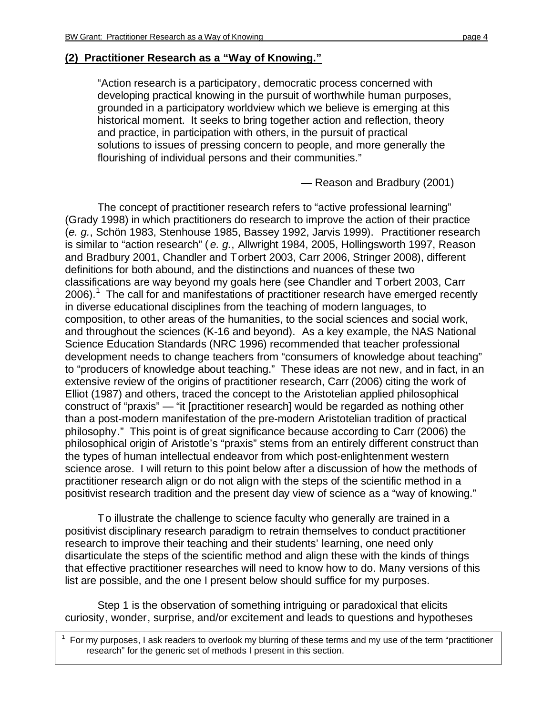#### **(2) Practitioner Research as a "Way of Knowing."**

"Action research is a participatory, democratic process concerned with developing practical knowing in the pursuit of worthwhile human purposes, grounded in a participatory worldview which we believe is emerging at this historical moment. It seeks to bring together action and reflection, theory and practice, in participation with others, in the pursuit of practical solutions to issues of pressing concern to people, and more generally the flourishing of individual persons and their communities."

— Reason and Bradbury (2001)

The concept of practitioner research refers to "active professional learning" (Grady 1998) in which practitioners do research to improve the action of their practice (*e. g.*, Schön 1983, Stenhouse 1985, Bassey 1992, Jarvis 1999). Practitioner research is similar to "action research" ( *e. g.*, Allwright 1984, 2005, Hollingsworth 1997, Reason and Bradbury 2001, Chandler and Torbert 2003, Carr 2006, Stringer 2008), different definitions for both abound, and the distinctions and nuances of these two classifications are way beyond my goals here (see Chandler and Torbert 2003, Carr 2006).<sup>1</sup> The call for and manifestations of practitioner research have emerged recently in diverse educational disciplines from the teaching of modern languages, to composition, to other areas of the humanities, to the social sciences and social work, and throughout the sciences (K-16 and beyond). As a key example, the NAS National Science Education Standards (NRC 1996) recommended that teacher professional development needs to change teachers from "consumers of knowledge about teaching" to "producers of knowledge about teaching." These ideas are not new, and in fact, in an extensive review of the origins of practitioner research, Carr (2006) citing the work of Elliot (1987) and others, traced the concept to the Aristotelian applied philosophical construct of "praxis" — "it [practitioner research] would be regarded as nothing other than a post-modern manifestation of the pre-modern Aristotelian tradition of practical philosophy." This point is of great significance because according to Carr (2006) the philosophical origin of Aristotle's "praxis" stems from an entirely different construct than the types of human intellectual endeavor from which post-enlightenment western science arose. I will return to this point below after a discussion of how the methods of practitioner research align or do not align with the steps of the scientific method in a positivist research tradition and the present day view of science as a "way of knowing."

To illustrate the challenge to science faculty who generally are trained in a positivist disciplinary research paradigm to retrain themselves to conduct practitioner research to improve their teaching and their students' learning, one need only disarticulate the steps of the scientific method and align these with the kinds of things that effective practitioner researches will need to know how to do. Many versions of this list are possible, and the one I present below should suffice for my purposes.

Step 1 is the observation of something intriguing or paradoxical that elicits curiosity, wonder, surprise, and/or excitement and leads to questions and hypotheses

1

 For my purposes, I ask readers to overlook my blurring of these terms and my use of the term "practitioner research" for the generic set of methods I present in this section.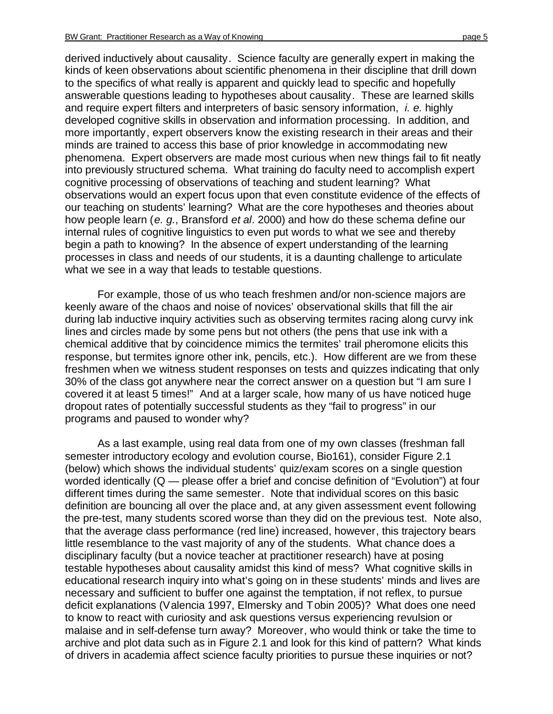derived inductively about causality. Science faculty are generally expert in making the kinds of keen observations about scientific phenomena in their discipline that drill down to the specifics of what really is apparent and quickly lead to specific and hopefully answerable questions leading to hypotheses about causality. These are learned skills and require expert filters and interpreters of basic sensory information, *i. e.* highly developed cognitive skills in observation and information processing. In addition, and more importantly, expert observers know the existing research in their areas and their minds are trained to access this base of prior knowledge in accommodating new phenomena. Expert observers are made most curious when new things fail to fit neatly into previously structured schema. What training do faculty need to accomplish expert cognitive processing of observations of teaching and student learning? What observations would an expert focus upon that even constitute evidence of the effects of our teaching on students' learning? What are the core hypotheses and theories about how people learn (*e. g.*, Bransford *et al*. 2000) and how do these schema define our internal rules of cognitive linguistics to even put words to what we see and thereby begin a path to knowing? In the absence of expert understanding of the learning processes in class and needs of our students, it is a daunting challenge to articulate what we see in a way that leads to testable questions.

For example, those of us who teach freshmen and/or non-science majors are keenly aware of the chaos and noise of novices' observational skills that fill the air during lab inductive inquiry activities such as observing termites racing along curvy ink lines and circles made by some pens but not others (the pens that use ink with a chemical additive that by coincidence mimics the termites' trail pheromone elicits this response, but termites ignore other ink, pencils, etc.). How different are we from these freshmen when we witness student responses on tests and quizzes indicating that only 30% of the class got anywhere near the correct answer on a question but "I am sure I covered it at least 5 times!" And at a larger scale, how many of us have noticed huge dropout rates of potentially successful students as they "fail to progress" in our programs and paused to wonder why?

As a last example, using real data from one of my own classes (freshman fall semester introductory ecology and evolution course, Bio161), consider Figure 2.1 (below) which shows the individual students' quiz/exam scores on a single question worded identically (Q — please offer a brief and concise definition of "Evolution") at four different times during the same semester. Note that individual scores on this basic definition are bouncing all over the place and, at any given assessment event following the pre-test, many students scored worse than they did on the previous test. Note also, that the average class performance (red line) increased, however, this trajectory bears little resemblance to the vast majority of any of the students. What chance does a disciplinary faculty (but a novice teacher at practitioner research) have at posing testable hypotheses about causality amidst this kind of mess? What cognitive skills in educational research inquiry into what's going on in these students' minds and lives are necessary and sufficient to buffer one against the temptation, if not reflex, to pursue deficit explanations (Valencia 1997, Elmersky and Tobin 2005)? What does one need to know to react with curiosity and ask questions versus experiencing revulsion or malaise and in self-defense turn away? Moreover, who would think or take the time to archive and plot data such as in Figure 2.1 and look for this kind of pattern? What kinds of drivers in academia affect science faculty priorities to pursue these inquiries or not?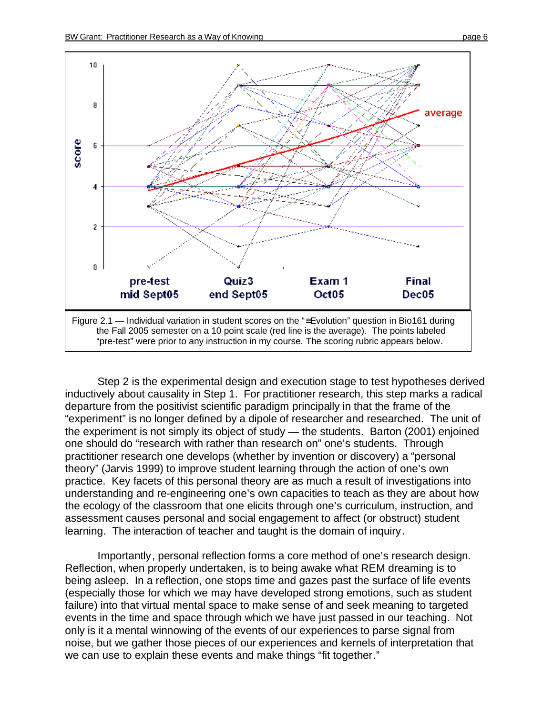

Step 2 is the experimental design and execution stage to test hypotheses derived inductively about causality in Step 1. For practitioner research, this step marks a radical departure from the positivist scientific paradigm principally in that the frame of the "experiment" is no longer defined by a dipole of researcher and researched. The unit of the experiment is not simply its object of study — the students. Barton (2001) enjoined one should do "research with rather than research on" one's students. Through practitioner research one develops (whether by invention or discovery) a "personal theory" (Jarvis 1999) to improve student learning through the action of one's own practice. Key facets of this personal theory are as much a result of investigations into understanding and re-engineering one's own capacities to teach as they are about how the ecology of the classroom that one elicits through one's curriculum, instruction, and assessment causes personal and social engagement to affect (or obstruct) student learning. The interaction of teacher and taught is the domain of inquiry.

Importantly, personal reflection forms a core method of one's research design. Reflection, when properly undertaken, is to being awake what REM dreaming is to being asleep. In a reflection, one stops time and gazes past the surface of life events (especially those for which we may have developed strong emotions, such as student failure) into that virtual mental space to make sense of and seek meaning to targeted events in the time and space through which we have just passed in our teaching. Not only is it a mental winnowing of the events of our experiences to parse signal from noise, but we gather those pieces of our experiences and kernels of interpretation that we can use to explain these events and make things "fit together."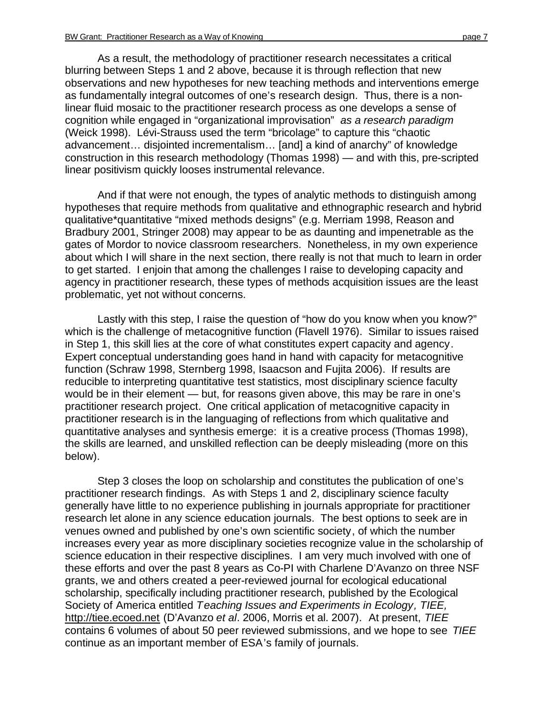As a result, the methodology of practitioner research necessitates a critical blurring between Steps 1 and 2 above, because it is through reflection that new observations and new hypotheses for new teaching methods and interventions emerge as fundamentally integral outcomes of one's research design. Thus, there is a nonlinear fluid mosaic to the practitioner research process as one develops a sense of cognition while engaged in "organizational improvisation" *as a research paradigm* (Weick 1998). Lévi-Strauss used the term "bricolage" to capture this "chaotic advancement… disjointed incrementalism… [and] a kind of anarchy" of knowledge construction in this research methodology (Thomas 1998) — and with this, pre-scripted linear positivism quickly looses instrumental relevance.

And if that were not enough, the types of analytic methods to distinguish among hypotheses that require methods from qualitative and ethnographic research and hybrid qualitative\*quantitative "mixed methods designs" (e.g. Merriam 1998, Reason and Bradbury 2001, Stringer 2008) may appear to be as daunting and impenetrable as the gates of Mordor to novice classroom researchers. Nonetheless, in my own experience about which I will share in the next section, there really is not that much to learn in order to get started. I enjoin that among the challenges I raise to developing capacity and agency in practitioner research, these types of methods acquisition issues are the least problematic, yet not without concerns.

Lastly with this step, I raise the question of "how do you know when you know?" which is the challenge of metacognitive function (Flavell 1976). Similar to issues raised in Step 1, this skill lies at the core of what constitutes expert capacity and agency. Expert conceptual understanding goes hand in hand with capacity for metacognitive function (Schraw 1998, Sternberg 1998, Isaacson and Fujita 2006). If results are reducible to interpreting quantitative test statistics, most disciplinary science faculty would be in their element — but, for reasons given above, this may be rare in one's practitioner research project. One critical application of metacognitive capacity in practitioner research is in the languaging of reflections from which qualitative and quantitative analyses and synthesis emerge: it is a creative process (Thomas 1998), the skills are learned, and unskilled reflection can be deeply misleading (more on this below).

Step 3 closes the loop on scholarship and constitutes the publication of one's practitioner research findings. As with Steps 1 and 2, disciplinary science faculty generally have little to no experience publishing in journals appropriate for practitioner research let alone in any science education journals. The best options to seek are in venues owned and published by one's own scientific society, of which the number increases every year as more disciplinary societies recognize value in the scholarship of science education in their respective disciplines. I am very much involved with one of these efforts and over the past 8 years as Co-PI with Charlene D'Avanzo on three NSF grants, we and others created a peer-reviewed journal for ecological educational scholarship, specifically including practitioner research, published by the Ecological Society of America entitled *Teaching Issues and Experiments in Ecology, TIEE,* <http://tiee.ecoed.net>(D'Avanzo *et al*. 2006, Morris et al. 2007). At present, *TIEE* contains 6 volumes of about 50 peer reviewed submissions, and we hope to see *TIEE* continue as an important member of ESA's family of journals.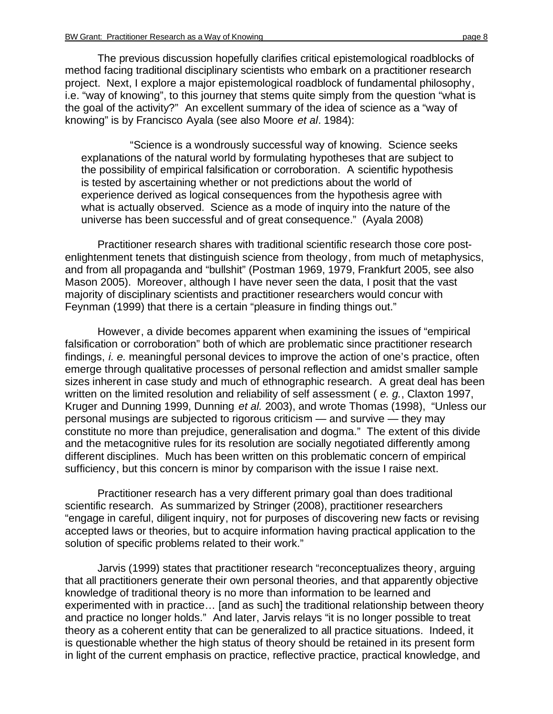The previous discussion hopefully clarifies critical epistemological roadblocks of method facing traditional disciplinary scientists who embark on a practitioner research project. Next, I explore a major epistemological roadblock of fundamental philosophy, i.e. "way of knowing", to this journey that stems quite simply from the question "what is the goal of the activity?" An excellent summary of the idea of science as a "way of knowing" is by Francisco Ayala (see also Moore *et al*. 1984):

"Science is a wondrously successful way of knowing. Science seeks explanations of the natural world by formulating hypotheses that are subject to the possibility of empirical falsification or corroboration. A scientific hypothesis is tested by ascertaining whether or not predictions about the world of experience derived as logical consequences from the hypothesis agree with what is actually observed. Science as a mode of inquiry into the nature of the universe has been successful and of great consequence." (Ayala 2008)

Practitioner research shares with traditional scientific research those core postenlightenment tenets that distinguish science from theology, from much of metaphysics, and from all propaganda and "bullshit" (Postman 1969, 1979, Frankfurt 2005, see also Mason 2005). Moreover, although I have never seen the data, I posit that the vast majority of disciplinary scientists and practitioner researchers would concur with Feynman (1999) that there is a certain "pleasure in finding things out."

However, a divide becomes apparent when examining the issues of "empirical falsification or corroboration" both of which are problematic since practitioner research findings, *i. e.* meaningful personal devices to improve the action of one's practice, often emerge through qualitative processes of personal reflection and amidst smaller sample sizes inherent in case study and much of ethnographic research. A great deal has been written on the limited resolution and reliability of self assessment ( *e. g.*, Claxton 1997, Kruger and Dunning 1999, Dunning *et al.* 2003), and wrote Thomas (1998), "Unless our personal musings are subjected to rigorous criticism — and survive — they may constitute no more than prejudice, generalisation and dogma." The extent of this divide and the metacognitive rules for its resolution are socially negotiated differently among different disciplines. Much has been written on this problematic concern of empirical sufficiency, but this concern is minor by comparison with the issue I raise next.

Practitioner research has a very different primary goal than does traditional scientific research. As summarized by Stringer (2008), practitioner researchers "engage in careful, diligent inquiry, not for purposes of discovering new facts or revising accepted laws or theories, but to acquire information having practical application to the solution of specific problems related to their work."

Jarvis (1999) states that practitioner research "reconceptualizes theory, arguing that all practitioners generate their own personal theories, and that apparently objective knowledge of traditional theory is no more than information to be learned and experimented with in practice… [and as such] the traditional relationship between theory and practice no longer holds." And later, Jarvis relays "it is no longer possible to treat theory as a coherent entity that can be generalized to all practice situations. Indeed, it is questionable whether the high status of theory should be retained in its present form in light of the current emphasis on practice, reflective practice, practical knowledge, and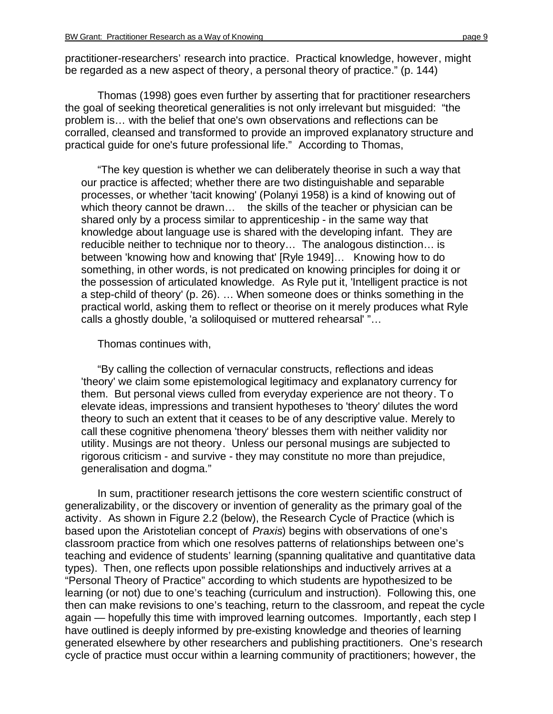practitioner-researchers' research into practice. Practical knowledge, however, might be regarded as a new aspect of theory, a personal theory of practice." (p. 144)

Thomas (1998) goes even further by asserting that for practitioner researchers the goal of seeking theoretical generalities is not only irrelevant but misguided: "the problem is… with the belief that one's own observations and reflections can be corralled, cleansed and transformed to provide an improved explanatory structure and practical guide for one's future professional life." According to Thomas,

"The key question is whether we can deliberately theorise in such a way that our practice is affected; whether there are two distinguishable and separable processes, or whether 'tacit knowing' (Polanyi 1958) is a kind of knowing out of which theory cannot be drawn... the skills of the teacher or physician can be shared only by a process similar to apprenticeship - in the same way that knowledge about language use is shared with the developing infant. They are reducible neither to technique nor to theory… The analogous distinction… is between 'knowing how and knowing that' [Ryle 1949]… Knowing how to do something, in other words, is not predicated on knowing principles for doing it or the possession of articulated knowledge. As Ryle put it, 'Intelligent practice is not a step-child of theory' (p. 26). … When someone does or thinks something in the practical world, asking them to reflect or theorise on it merely produces what Ryle calls a ghostly double, 'a soliloquised or muttered rehearsal' "…

#### Thomas continues with,

"By calling the collection of vernacular constructs, reflections and ideas 'theory' we claim some epistemological legitimacy and explanatory currency for them. But personal views culled from everyday experience are not theory. To elevate ideas, impressions and transient hypotheses to 'theory' dilutes the word theory to such an extent that it ceases to be of any descriptive value. Merely to call these cognitive phenomena 'theory' blesses them with neither validity nor utility. Musings are not theory. Unless our personal musings are subjected to rigorous criticism - and survive - they may constitute no more than prejudice, generalisation and dogma."

In sum, practitioner research jettisons the core western scientific construct of generalizability, or the discovery or invention of generality as the primary goal of the activity. As shown in Figure 2.2 (below), the Research Cycle of Practice (which is based upon the Aristotelian concept of *Praxis*) begins with observations of one's classroom practice from which one resolves patterns of relationships between one's teaching and evidence of students' learning (spanning qualitative and quantitative data types). Then, one reflects upon possible relationships and inductively arrives at a "Personal Theory of Practice" according to which students are hypothesized to be learning (or not) due to one's teaching (curriculum and instruction). Following this, one then can make revisions to one's teaching, return to the classroom, and repeat the cycle again — hopefully this time with improved learning outcomes. Importantly, each step I have outlined is deeply informed by pre-existing knowledge and theories of learning generated elsewhere by other researchers and publishing practitioners. One's research cycle of practice must occur within a learning community of practitioners; however, the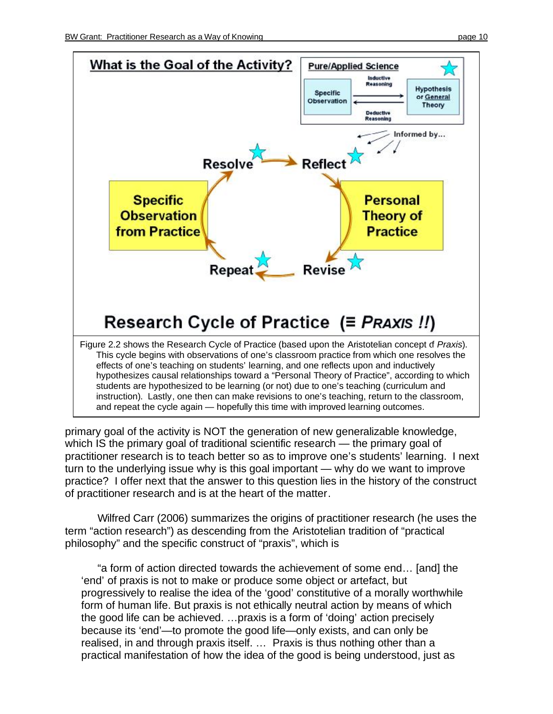

primary goal of the activity is NOT the generation of new generalizable knowledge, which IS the primary goal of traditional scientific research — the primary goal of practitioner research is to teach better so as to improve one's students' learning. I next turn to the underlying issue why is this goal important — why do we want to improve practice? I offer next that the answer to this question lies in the history of the construct of practitioner research and is at the heart of the matter.

Wilfred Carr (2006) summarizes the origins of practitioner research (he uses the term "action research") as descending from the Aristotelian tradition of "practical philosophy" and the specific construct of "praxis", which is

"a form of action directed towards the achievement of some end… [and] the 'end' of praxis is not to make or produce some object or artefact, but progressively to realise the idea of the 'good' constitutive of a morally worthwhile form of human life. But praxis is not ethically neutral action by means of which the good life can be achieved. …praxis is a form of 'doing' action precisely because its 'end'—to promote the good life—only exists, and can only be realised, in and through praxis itself. … Praxis is thus nothing other than a practical manifestation of how the idea of the good is being understood, just as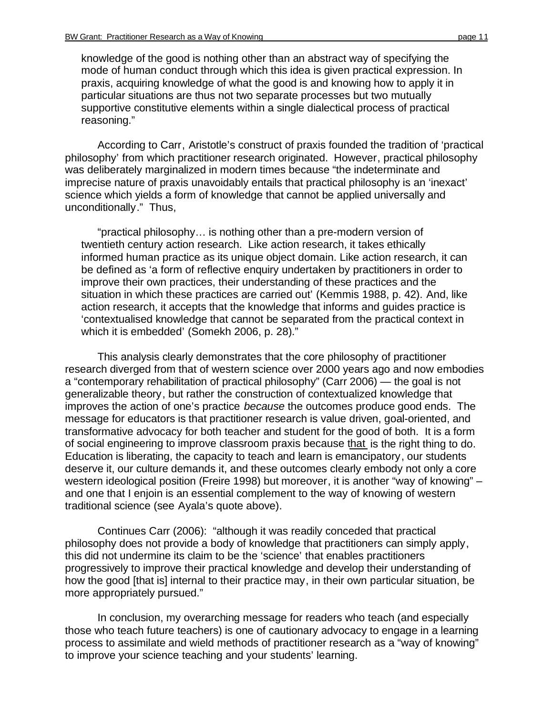knowledge of the good is nothing other than an abstract way of specifying the mode of human conduct through which this idea is given practical expression. In praxis, acquiring knowledge of what the good is and knowing how to apply it in particular situations are thus not two separate processes but two mutually supportive constitutive elements within a single dialectical process of practical reasoning."

According to Carr, Aristotle's construct of praxis founded the tradition of 'practical philosophy' from which practitioner research originated. However, practical philosophy was deliberately marginalized in modern times because "the indeterminate and imprecise nature of praxis unavoidably entails that practical philosophy is an 'inexact' science which yields a form of knowledge that cannot be applied universally and unconditionally." Thus,

"practical philosophy… is nothing other than a pre-modern version of twentieth century action research. Like action research, it takes ethically informed human practice as its unique object domain. Like action research, it can be defined as 'a form of reflective enquiry undertaken by practitioners in order to improve their own practices, their understanding of these practices and the situation in which these practices are carried out' (Kemmis 1988, p. 42). And, like action research, it accepts that the knowledge that informs and guides practice is 'contextualised knowledge that cannot be separated from the practical context in which it is embedded' (Somekh 2006, p. 28)."

This analysis clearly demonstrates that the core philosophy of practitioner research diverged from that of western science over 2000 years ago and now embodies a "contemporary rehabilitation of practical philosophy" (Carr 2006) — the goal is not generalizable theory, but rather the construction of contextualized knowledge that improves the action of one's practice *because* the outcomes produce good ends. The message for educators is that practitioner research is value driven, goal-oriented, and transformative advocacy for both teacher and student for the good of both. It is a form of social engineering to improve classroom praxis because that is the right thing to do. Education is liberating, the capacity to teach and learn is emancipatory, our students deserve it, our culture demands it, and these outcomes clearly embody not only a core western ideological position (Freire 1998) but moreover, it is another "way of knowing" – and one that I enjoin is an essential complement to the way of knowing of western traditional science (see Ayala's quote above).

Continues Carr (2006): "although it was readily conceded that practical philosophy does not provide a body of knowledge that practitioners can simply apply, this did not undermine its claim to be the 'science' that enables practitioners progressively to improve their practical knowledge and develop their understanding of how the good [that is] internal to their practice may, in their own particular situation, be more appropriately pursued."

In conclusion, my overarching message for readers who teach (and especially those who teach future teachers) is one of cautionary advocacy to engage in a learning process to assimilate and wield methods of practitioner research as a "way of knowing" to improve your science teaching and your students' learning.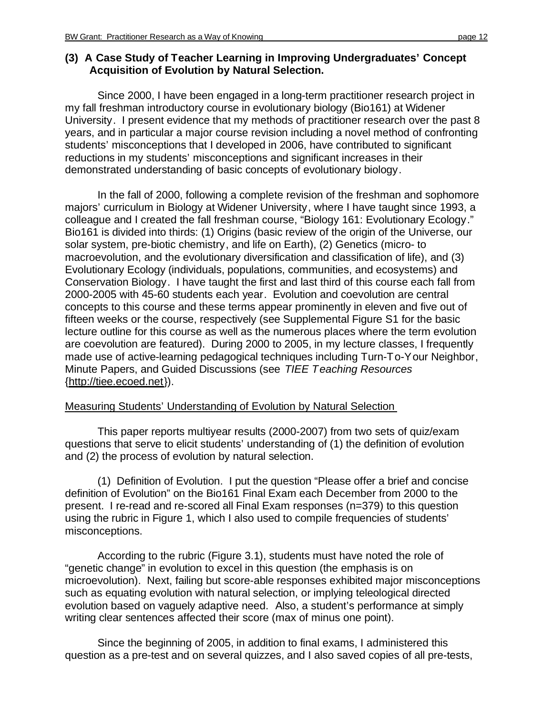### **(3) A Case Study of Teacher Learning in Improving Undergraduates' Concept Acquisition of Evolution by Natural Selection.**

Since 2000, I have been engaged in a long-term practitioner research project in my fall freshman introductory course in evolutionary biology (Bio161) at Widener University. I present evidence that my methods of practitioner research over the past 8 years, and in particular a major course revision including a novel method of confronting students' misconceptions that I developed in 2006, have contributed to significant reductions in my students' misconceptions and significant increases in their demonstrated understanding of basic concepts of evolutionary biology.

In the fall of 2000, following a complete revision of the freshman and sophomore majors' curriculum in Biology at Widener University, where I have taught since 1993, a colleague and I created the fall freshman course, "Biology 161: Evolutionary Ecology." Bio161 is divided into thirds: (1) Origins (basic review of the origin of the Universe, our solar system, pre-biotic chemistry, and life on Earth), (2) Genetics (micro- to macroevolution, and the evolutionary diversification and classification of life), and (3) Evolutionary Ecology (individuals, populations, communities, and ecosystems) and Conservation Biology. I have taught the first and last third of this course each fall from 2000-2005 with 45-60 students each year. Evolution and coevolution are central concepts to this course and these terms appear prominently in eleven and five out of fifteen weeks or the course, respectively (see Supplemental Figure S1 for the basic lecture outline for this course as well as the numerous places where the term evolution are coevolution are featured). During 2000 to 2005, in my lecture classes, I frequently made use of active-learning pedagogical techniques including Turn-To-Your Neighbor, Minute Papers, and Guided Discussions (see *TIEE Teaching Resources* [{http://tiee.ecoed.net}](http://tiee.ecoed.net)).

## Measuring Students' Understanding of Evolution by Natural Selection

This paper reports multiyear results (2000-2007) from two sets of quiz/exam questions that serve to elicit students' understanding of (1) the definition of evolution and (2) the process of evolution by natural selection.

(1) Definition of Evolution. I put the question "Please offer a brief and concise definition of Evolution" on the Bio161 Final Exam each December from 2000 to the present. I re-read and re-scored all Final Exam responses (n=379) to this question using the rubric in Figure 1, which I also used to compile frequencies of students' misconceptions.

According to the rubric (Figure 3.1), students must have noted the role of "genetic change" in evolution to excel in this question (the emphasis is on microevolution). Next, failing but score-able responses exhibited major misconceptions such as equating evolution with natural selection, or implying teleological directed evolution based on vaguely adaptive need. Also, a student's performance at simply writing clear sentences affected their score (max of minus one point).

Since the beginning of 2005, in addition to final exams, I administered this question as a pre-test and on several quizzes, and I also saved copies of all pre-tests,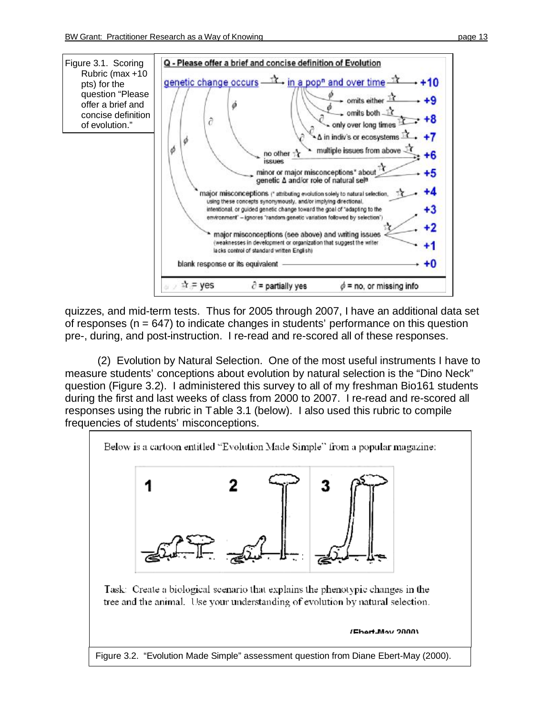

quizzes, and mid-term tests. Thus for 2005 through 2007, I have an additional data set of responses ( $n = 647$ ) to indicate changes in students' performance on this question pre-, during, and post-instruction. I re-read and re-scored all of these responses.

(2) Evolution by Natural Selection. One of the most useful instruments I have to measure students' conceptions about evolution by natural selection is the "Dino Neck" question (Figure 3.2). I administered this survey to all of my freshman Bio161 students during the first and last weeks of class from 2000 to 2007. I re-read and re-scored all responses using the rubric in Table 3.1 (below). I also used this rubric to compile frequencies of students' misconceptions.

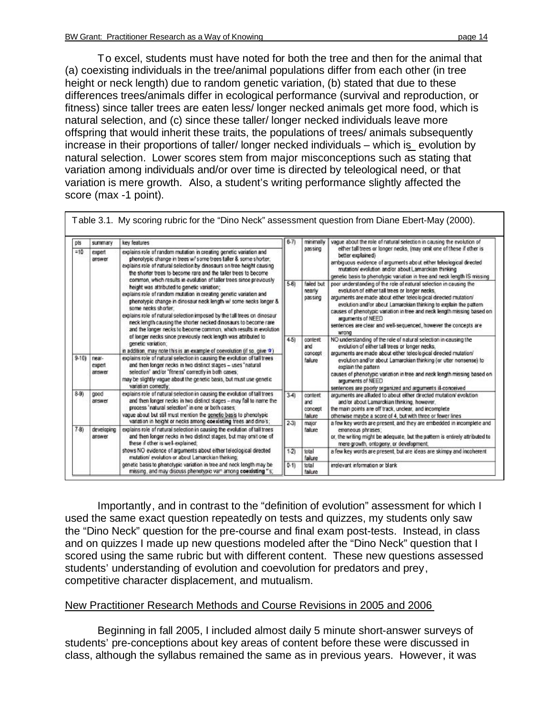To excel, students must have noted for both the tree and then for the animal that (a) coexisting individuals in the tree/animal populations differ from each other (in tree height or neck length) due to random genetic variation, (b) stated that due to these differences trees/animals differ in ecological performance (survival and reproduction, or fitness) since taller trees are eaten less/ longer necked animals get more food, which is natural selection, and (c) since these taller/ longer necked individuals leave more offspring that would inherit these traits, the populations of trees/ animals subsequently increase in their proportions of taller/ longer necked individuals – which is evolution by natural selection. Lower scores stem from major misconceptions such as stating that variation among individuals and/or over time is directed by teleological need, or that variation is mere growth. Also, a student's writing performance slightly affected the score (max -1 point).

| <b>DIS</b> | summary                   | key features                                                                                                                                                                                                                                                                                                                                                                                                                                                                                                                                                                                                                                                                                                                                                                                                                                                                                                                                                           |          | minimally                             | vague about the role of natural selection in causing the evolution of                                                                                                                                                                                                                                                                                                                                                                      |
|------------|---------------------------|------------------------------------------------------------------------------------------------------------------------------------------------------------------------------------------------------------------------------------------------------------------------------------------------------------------------------------------------------------------------------------------------------------------------------------------------------------------------------------------------------------------------------------------------------------------------------------------------------------------------------------------------------------------------------------------------------------------------------------------------------------------------------------------------------------------------------------------------------------------------------------------------------------------------------------------------------------------------|----------|---------------------------------------|--------------------------------------------------------------------------------------------------------------------------------------------------------------------------------------------------------------------------------------------------------------------------------------------------------------------------------------------------------------------------------------------------------------------------------------------|
| $=10$      | expert<br>answer          | explains role of random mutation in creating genetic variation and<br>phenotypic change in trees w/ some trees taller & some shorter;<br>explains role of natural selection by dinosaurs on tree height causing<br>the shorter trees to become rare and the taller trees to become<br>common, which results in evolution of taller trees since previously<br>height was attributed to genetic variation:<br>explains role of random mutation in creating genetic variation and<br>phenotypic change in dinosaur neck length w/ some necks longer &<br>some necks shorter:<br>explains role of natural selection imposed by the tall trees on dinosaur<br>neck length causing the shorter necked dinosaurs to become rare<br>and the longer necks to become common, which results in evolution<br>of longer necks since previously neck length was attributed to<br>genetic variation:<br>in addition, may note this is an example of coevolution (if so, give $\Phi$ ) |          | passing                               | either tall trees or longer necks, (may omit one of these if other is<br>better explained)<br>ambiguous evidence of arguments about either teleological directed<br>mutation/ evolution and/or about Lamarckian thinking<br>genetic basis to phenotypic variation in tree and neck length IS missing                                                                                                                                       |
|            |                           |                                                                                                                                                                                                                                                                                                                                                                                                                                                                                                                                                                                                                                                                                                                                                                                                                                                                                                                                                                        | $5-61$   | failed but<br>nearly<br>passing       | poor understanding of the role of natural selection in causing the<br>evolution of either tall trees or longer necks.<br>arguments are made about either teleological directed mutation/<br>evolution and/or about Lamarckian thinking to explain the pattern<br>causes of phenotypic variation in tree and neck length missing based on<br>arouments of NEED<br>sentences are clear and well-sequenced, however the concepts are<br>promi |
|            |                           |                                                                                                                                                                                                                                                                                                                                                                                                                                                                                                                                                                                                                                                                                                                                                                                                                                                                                                                                                                        | $4-51$   | oontent.<br>and<br>concept            | NO understanding of the role of natural selection in causing the<br>evolution of either tall trees or longer necks.<br>arguments are made about either teleological directed mutation/                                                                                                                                                                                                                                                     |
| $9-101$    | near-<br>expert<br>answer | explains role of natural selection in causing the evolution of tall trees<br>and then longer necks in two distinct stages - uses "natural<br>selection' and/or 'fitness' correctly in both cases;<br>may be slightly vague about the genetic basis, but must use genetic<br>variation correctly:                                                                                                                                                                                                                                                                                                                                                                                                                                                                                                                                                                                                                                                                       |          | failure                               | evolution and/or about Lamarckian thinking (or utter nonsense) to<br>explain the pattern<br>causes of phenotypic variation in tree and neck length missing based on<br>arguments of NEED                                                                                                                                                                                                                                                   |
| $8-90$     | good<br>answer            | explains role of natural selection in causing the evolution of tall trees<br>and then longer necks in two distinct stages - may fail to name the<br>process 'natural selection' in one or both cases:<br>vague about but still must mention the genetic basis to phenotypic                                                                                                                                                                                                                                                                                                                                                                                                                                                                                                                                                                                                                                                                                            | $3 - 41$ | content<br>and<br>concept<br>failure. | sentences are poorly organized and arguments ill-conceived<br>arguments are alluded to about either directed mutation/ evolution<br>and/or about Lamarckian thinking, however,<br>the main points are off track, unclear, and incomplete<br>otherwise maybe a score of 4, but with three or fewer lines                                                                                                                                    |
| $7-81$     | developing<br>answer      | variation in height or necks among coexisting trees and dino's;<br>explains role of natural selection in causing the evolution of tall trees<br>and then longer necks in two distinct stages, but may omit one of<br>these if other is well-explained;                                                                                                                                                                                                                                                                                                                                                                                                                                                                                                                                                                                                                                                                                                                 | $2-31$   | major<br>failure                      | a few key words are present, and they are embedded in incomplete and<br>erroneous phrases:<br>or, the writing might be adequate, but the pattern is entirely attributed to<br>mere growth, ontogeny, or development,                                                                                                                                                                                                                       |
|            |                           | shows NO evidence of arguments about either teleological directed<br>mutation/ evolution or about Lamarckian thinking;                                                                                                                                                                                                                                                                                                                                                                                                                                                                                                                                                                                                                                                                                                                                                                                                                                                 | $1-2$    | total<br>failure                      | a few key words are present, but are ideas are skimpy and incoherent                                                                                                                                                                                                                                                                                                                                                                       |
|            |                           | genetic basis to phenotypic variation in tree and neck length may be<br>missing, and may discuss phenotypic vart among coexisting "s;                                                                                                                                                                                                                                                                                                                                                                                                                                                                                                                                                                                                                                                                                                                                                                                                                                  | $0-11$   | total<br>failure                      | irrelevant information or blank                                                                                                                                                                                                                                                                                                                                                                                                            |

Importantly, and in contrast to the "definition of evolution" assessment for which I used the same exact question repeatedly on tests and quizzes, my students only saw the "Dino Neck" question for the pre-course and final exam post-tests. Instead, in class and on quizzes I made up new questions modeled after the "Dino Neck" question that I scored using the same rubric but with different content. These new questions assessed students' understanding of evolution and coevolution for predators and prey, competitive character displacement, and mutualism.

#### New Practitioner Research Methods and Course Revisions in 2005 and 2006

Beginning in fall 2005, I included almost daily 5 minute short-answer surveys of students' pre-conceptions about key areas of content before these were discussed in class, although the syllabus remained the same as in previous years. However, it was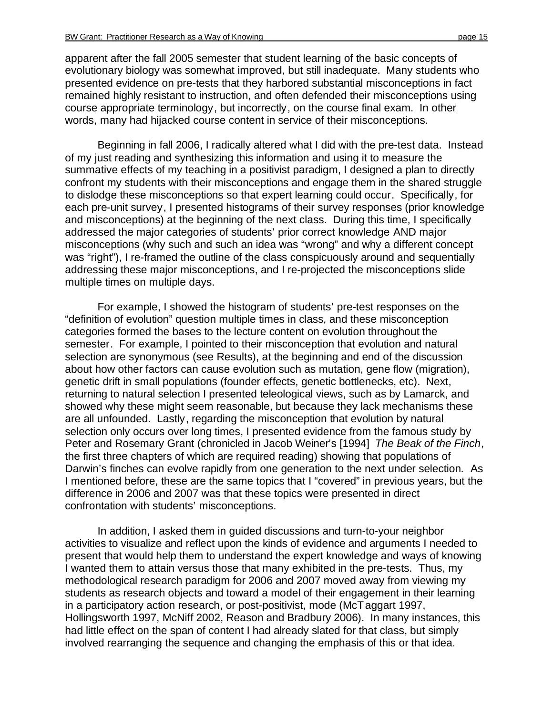apparent after the fall 2005 semester that student learning of the basic concepts of evolutionary biology was somewhat improved, but still inadequate. Many students who presented evidence on pre-tests that they harbored substantial misconceptions in fact remained highly resistant to instruction, and often defended their misconceptions using course appropriate terminology, but incorrectly, on the course final exam. In other words, many had hijacked course content in service of their misconceptions.

Beginning in fall 2006, I radically altered what I did with the pre-test data. Instead of my just reading and synthesizing this information and using it to measure the summative effects of my teaching in a positivist paradigm, I designed a plan to directly confront my students with their misconceptions and engage them in the shared struggle to dislodge these misconceptions so that expert learning could occur. Specifically, for each pre-unit survey, I presented histograms of their survey responses (prior knowledge and misconceptions) at the beginning of the next class. During this time, I specifically addressed the major categories of students' prior correct knowledge AND major misconceptions (why such and such an idea was "wrong" and why a different concept was "right"), I re-framed the outline of the class conspicuously around and sequentially addressing these major misconceptions, and I re-projected the misconceptions slide multiple times on multiple days.

For example, I showed the histogram of students' pre-test responses on the "definition of evolution" question multiple times in class, and these misconception categories formed the bases to the lecture content on evolution throughout the semester. For example, I pointed to their misconception that evolution and natural selection are synonymous (see Results), at the beginning and end of the discussion about how other factors can cause evolution such as mutation, gene flow (migration), genetic drift in small populations (founder effects, genetic bottlenecks, etc). Next, returning to natural selection I presented teleological views, such as by Lamarck, and showed why these might seem reasonable, but because they lack mechanisms these are all unfounded. Lastly, regarding the misconception that evolution by natural selection only occurs over long times, I presented evidence from the famous study by Peter and Rosemary Grant (chronicled in Jacob Weiner's [1994] *The Beak of the Finch*, the first three chapters of which are required reading) showing that populations of Darwin's finches can evolve rapidly from one generation to the next under selection. As I mentioned before, these are the same topics that I "covered" in previous years, but the difference in 2006 and 2007 was that these topics were presented in direct confrontation with students' misconceptions.

In addition, I asked them in guided discussions and turn-to-your neighbor activities to visualize and reflect upon the kinds of evidence and arguments I needed to present that would help them to understand the expert knowledge and ways of knowing I wanted them to attain versus those that many exhibited in the pre-tests. Thus, my methodological research paradigm for 2006 and 2007 moved away from viewing my students as research objects and toward a model of their engagement in their learning in a participatory action research, or post-positivist, mode (McTaggart 1997, Hollingsworth 1997, McNiff 2002, Reason and Bradbury 2006). In many instances, this had little effect on the span of content I had already slated for that class, but simply involved rearranging the sequence and changing the emphasis of this or that idea.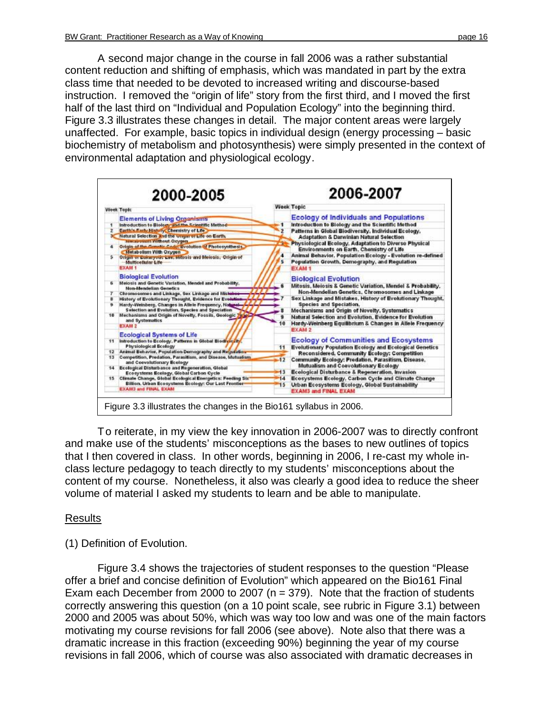A second major change in the course in fall 2006 was a rather substantial content reduction and shifting of emphasis, which was mandated in part by the extra class time that needed to be devoted to increased writing and discourse-based instruction. I removed the "origin of life" story from the first third, and I moved the first half of the last third on "Individual and Population Ecology" into the beginning third. Figure 3.3 illustrates these changes in detail. The major content areas were largely unaffected. For example, basic topics in individual design (energy processing – basic biochemistry of metabolism and photosynthesis) were simply presented in the context of environmental adaptation and physiological ecology.



To reiterate, in my view the key innovation in 2006-2007 was to directly confront and make use of the students' misconceptions as the bases to new outlines of topics that I then covered in class. In other words, beginning in 2006, I re-cast my whole inclass lecture pedagogy to teach directly to my students' misconceptions about the content of my course. Nonetheless, it also was clearly a good idea to reduce the sheer volume of material I asked my students to learn and be able to manipulate.

#### Results

#### (1) Definition of Evolution.

Figure 3.4 shows the trajectories of student responses to the question "Please offer a brief and concise definition of Evolution" which appeared on the Bio161 Final Exam each December from 2000 to 2007 ( $n = 379$ ). Note that the fraction of students correctly answering this question (on a 10 point scale, see rubric in Figure 3.1) between 2000 and 2005 was about 50%, which was way too low and was one of the main factors motivating my course revisions for fall 2006 (see above). Note also that there was a dramatic increase in this fraction (exceeding 90%) beginning the year of my course revisions in fall 2006, which of course was also associated with dramatic decreases in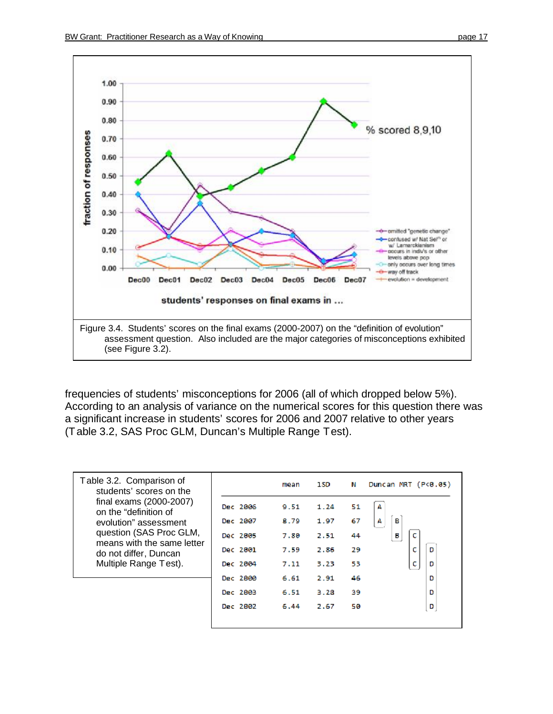

frequencies of students' misconceptions for 2006 (all of which dropped below 5%). According to an analysis of variance on the numerical scores for this question there was a significant increase in students' scores for 2006 and 2007 relative to other years (Table 3.2, SAS Proc GLM, Duncan's Multiple Range Test).

| Table 3.2. Comparison of<br>students' scores on the   |          | mean | 1SD. | Ν   | Duncan MRT (P<0.05) |
|-------------------------------------------------------|----------|------|------|-----|---------------------|
| final exams (2000-2007)<br>on the "definition of      | Dec 2006 | 9.51 | 1.24 | 51  |                     |
| evolution" assessment                                 | Dec 2007 | 8.79 | 1.97 | 67  | в<br>А              |
| question (SAS Proc GLM,<br>means with the same letter | Dec 2005 | 7.80 | 2.51 | 44  | в                   |
| do not differ, Duncan                                 | Dec 2001 | 7.59 | 2.86 | 29  | с<br>D              |
| Multiple Range Test).                                 | Dec 2004 | 7.11 | 3.23 | 53  | D<br>с              |
|                                                       | Dec 2800 | 6.61 | 2.91 | 46  | D                   |
|                                                       | Dec 2803 | 6.51 | 3.28 | 59. | D                   |
|                                                       | Dec 2802 | 6.44 | 2.67 | 50  | D                   |
|                                                       |          |      |      |     |                     |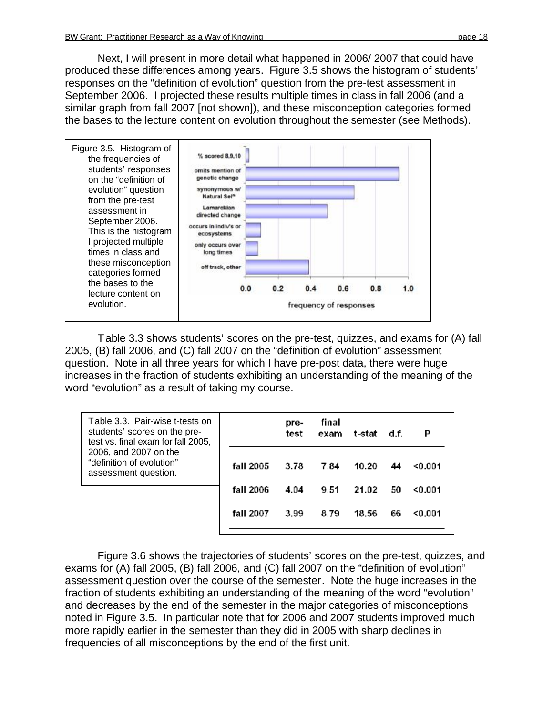Next, I will present in more detail what happened in 2006/ 2007 that could have produced these differences among years. Figure 3.5 shows the histogram of students' responses on the "definition of evolution" question from the pre-test assessment in September 2006. I projected these results multiple times in class in fall 2006 (and a similar graph from fall 2007 [not shown]), and these misconception categories formed the bases to the lecture content on evolution throughout the semester (see Methods).



Table 3.3 shows students' scores on the pre-test, quizzes, and exams for (A) fall 2005, (B) fall 2006, and (C) fall 2007 on the "definition of evolution" assessment question. Note in all three years for which I have pre-post data, there were huge increases in the fraction of students exhibiting an understanding of the meaning of the word "evolution" as a result of taking my course.

| Table 3.3. Pair-wise t-tests on<br>students' scores on the pre-<br>test vs. final exam for fall 2005, |           | pre-<br>test | final<br>exam | t-stat | d.f. | P       |
|-------------------------------------------------------------------------------------------------------|-----------|--------------|---------------|--------|------|---------|
| 2006, and 2007 on the<br>"definition of evolution"<br>assessment question.                            | fall 2005 | 3.78         | 7.84          | 10.20  | 44   | < 0.001 |
|                                                                                                       | fall 2006 | 4.04         | 9.51          | 21.02  | 50   | < 0.001 |
|                                                                                                       | fall 2007 | 3.99         | 8.79          | 18.56  | 66   | < 0.001 |

Figure 3.6 shows the trajectories of students' scores on the pre-test, quizzes, and exams for (A) fall 2005, (B) fall 2006, and (C) fall 2007 on the "definition of evolution" assessment question over the course of the semester. Note the huge increases in the fraction of students exhibiting an understanding of the meaning of the word "evolution" and decreases by the end of the semester in the major categories of misconceptions noted in Figure 3.5. In particular note that for 2006 and 2007 students improved much more rapidly earlier in the semester than they did in 2005 with sharp declines in frequencies of all misconceptions by the end of the first unit.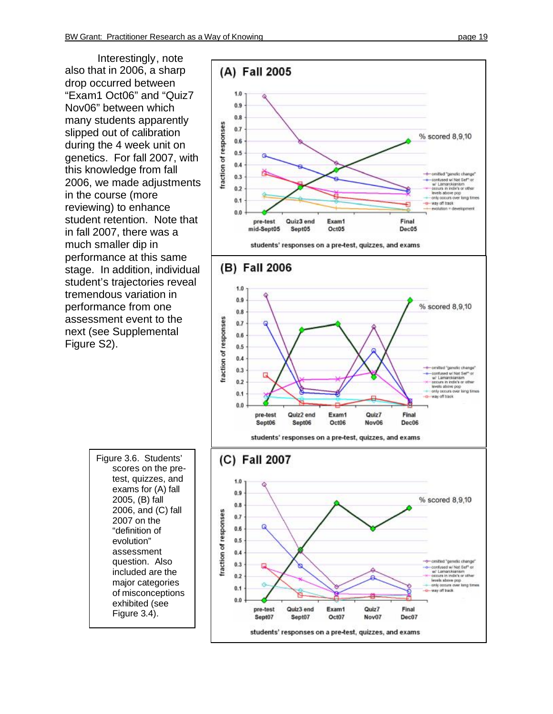Interes tingl y, note also that in 2006, a sha rp drop occ urr ed between "Ex am1 Oct06" and "Q uiz7 Nov06" between which many students apparently slipped out of calibration du ring t he 4 week u nit on gene tics. For f all 2007, wi th this knowledge from fall 2006, we made adjustments in the co urse (more reviewing) to enh ance student retention. Note that in f all 2007, ther e was a much small er dip in performance at t his same stage. In ad dition , in dividu al student's trajectories reveal tremendous va ria tion in performance from one assessment event to the next (see Sup plemental Figure S 2).



Figure 3.6. Students' scor es on the pretest, quizzes, and ex ams fo r (A) f all 2005, (B) fall 2006, and (C) f all 2007 on the "de finition of e v olu tion" a s sessment question. Also included are the major categories of misconceptions ex hibited (see Figure 3.4).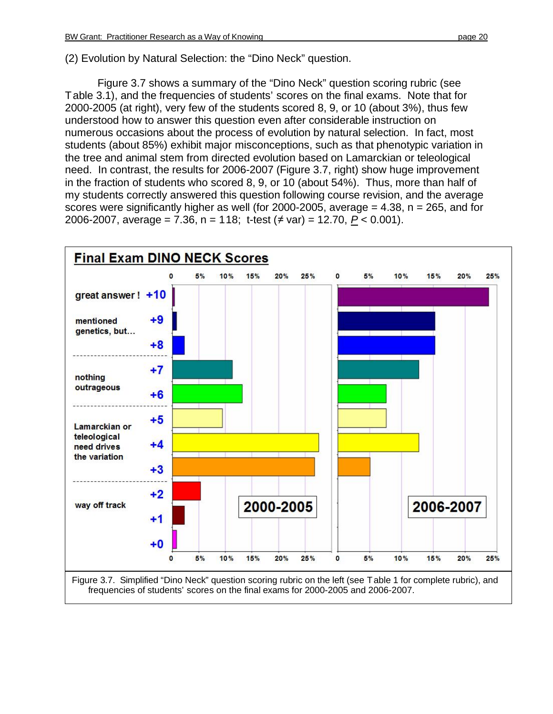(2) Evolution by Natural Selection: the "Dino Neck" question.

Figure 3.7 shows a summary of the "Dino Neck" question scoring rubric (see Table 3.1), and the frequencies of students' scores on the final exams. Note that for 2000-2005 (at right), very few of the students scored 8, 9, or 10 (about 3%), thus few understood how to answer this question even after considerable instruction on numerous occasions about the process of evolution by natural selection. In fact, most students (about 85%) exhibit major misconceptions, such as that phenotypic variation in the tree and animal stem from directed evolution based on Lamarckian or teleological need. In contrast, the results for 2006-2007 (Figure 3.7, right) show huge improvement in the fraction of students who scored 8, 9, or 10 (about 54%). Thus, more than half of my students correctly answered this question following course revision, and the average scores were significantly higher as well (for 2000-2005, average  $= 4.38$ ,  $n = 265$ , and for 2006-2007, average = 7.36, n = 118; t-test (≠ var) = 12.70, *P* < 0.001).

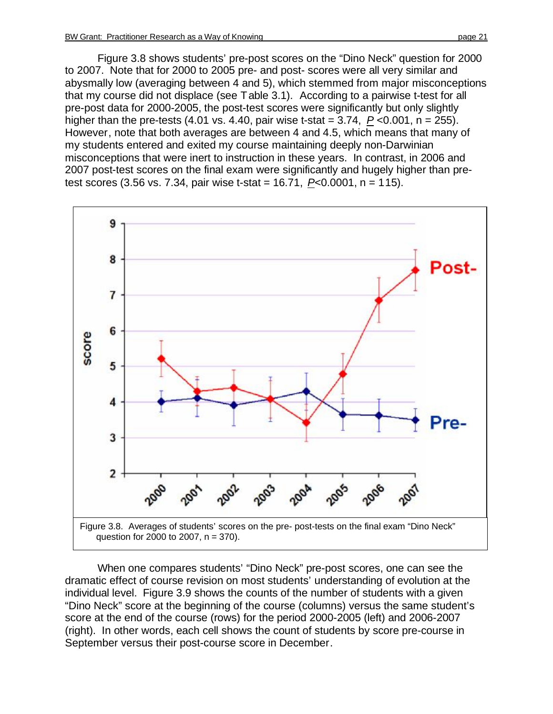Figure 3.8 shows students' pre-post scores on the "Dino Neck" question for 2000 to 2007. Note that for 2000 to 2005 pre- and post- scores were all very similar and abysmally low (averaging between 4 and 5), which stemmed from major misconceptions that my course did not displace (see Table 3.1). According to a pairwise t-test for all pre-post data for 2000-2005, the post-test scores were significantly but only slightly higher than the pre-tests (4.01 vs. 4.40, pair wise t-stat =  $3.74$ ,  $P < 0.001$ ,  $n = 255$ ). However, note that both averages are between 4 and 4.5, which means that many of my students entered and exited my course maintaining deeply non-Darwinian misconceptions that were inert to instruction in these years. In contrast, in 2006 and 2007 post-test scores on the final exam were significantly and hugely higher than pre-





When one compares students' "Dino Neck" pre-post scores, one can see the dramatic effect of course revision on most students' understanding of evolution at the individual level. Figure 3.9 shows the counts of the number of students with a given "Dino Neck" score at the beginning of the course (columns) versus the same student's score at the end of the course (rows) for the period 2000-2005 (left) and 2006-2007 (right). In other words, each cell shows the count of students by score pre-course in September versus their post-course score in December.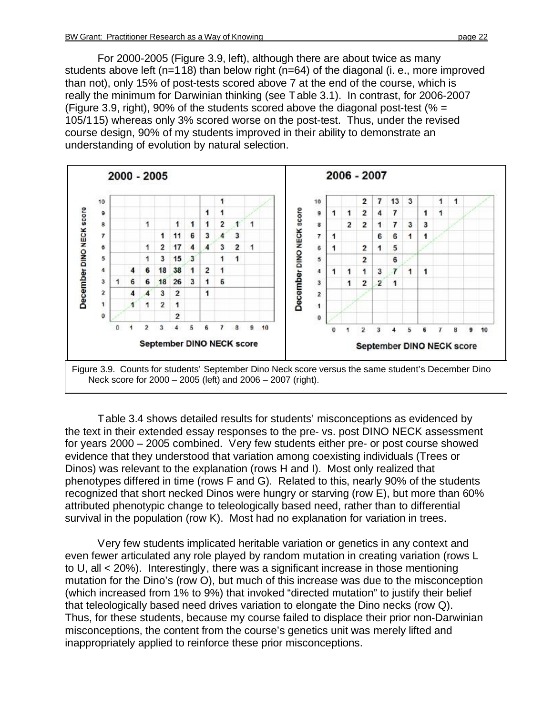For 2000-2005 (Figure 3.9, left), although there are about twice as many students above left (n=118) than below right (n=64) of the diagonal (i. e., more improved than not), only 15% of post-tests scored above 7 at the end of the course, which is really the minimum for Darwinian thinking (see Table 3.1). In contrast, for 2006-2007 (Figure 3.9, right), 90% of the students scored above the diagonal post-test ( $% =$ 105/115) whereas only 3% scored worse on the post-test. Thus, under the revised course design, 90% of my students improved in their ability to demonstrate an understanding of evolution by natural selection.





Table 3.4 shows detailed results for students' misconceptions as evidenced by the text in their extended essay responses to the pre- vs. post DINO NECK assessment for years 2000 – 2005 combined. Very few students either pre- or post course showed evidence that they understood that variation among coexisting individuals (Trees or Dinos) was relevant to the explanation (rows H and I). Most only realized that phenotypes differed in time (rows F and G). Related to this, nearly 90% of the students recognized that short necked Dinos were hungry or starving (row E), but more than 60% attributed phenotypic change to teleologically based need, rather than to differential survival in the population (row K). Most had no explanation for variation in trees.

Very few students implicated heritable variation or genetics in any context and even fewer articulated any role played by random mutation in creating variation (rows L to U, all < 20%). Interestingly, there was a significant increase in those mentioning mutation for the Dino's (row O), but much of this increase was due to the misconception (which increased from 1% to 9%) that invoked "directed mutation" to justify their belief that teleologically based need drives variation to elongate the Dino necks (row Q). Thus, for these students, because my course failed to displace their prior non-Darwinian misconceptions, the content from the course's genetics unit was merely lifted and inappropriately applied to reinforce these prior misconceptions.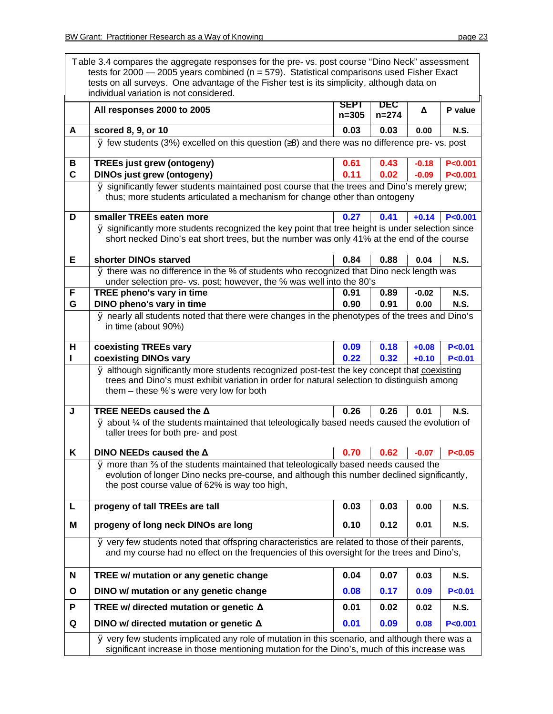|              | Table 3.4 compares the aggregate responses for the pre- vs. post course "Dino Neck" assessment<br>tests for $2000 - 2005$ years combined ( $n = 579$ ). Statistical comparisons used Fisher Exact<br>tests on all surveys. One advantage of the Fisher test is its simplicity, although data on<br>individual variation is not considered. |                   |                  |         |             |  |
|--------------|--------------------------------------------------------------------------------------------------------------------------------------------------------------------------------------------------------------------------------------------------------------------------------------------------------------------------------------------|-------------------|------------------|---------|-------------|--|
|              | All responses 2000 to 2005                                                                                                                                                                                                                                                                                                                 | SEPT<br>$n = 305$ | DEC<br>$n = 274$ | Δ       | P value     |  |
| A            | scored 8, 9, or 10                                                                                                                                                                                                                                                                                                                         | 0.03              | 0.03             | 0.00    | <b>N.S.</b> |  |
|              | $\emptyset$ few students (3%) excelled on this question ( $\geq$ 8) and there was no difference pre- vs. post                                                                                                                                                                                                                              |                   |                  |         |             |  |
| В            | <b>TREEs just grew (ontogeny)</b>                                                                                                                                                                                                                                                                                                          | 0.61              | 0.43             | $-0.18$ | P < 0.001   |  |
| $\mathbf c$  | <b>DINOs just grew (ontogeny)</b>                                                                                                                                                                                                                                                                                                          | 0.11              | 0.02             | $-0.09$ | P < 0.001   |  |
|              | Ø significantly fewer students maintained post course that the trees and Dino's merely grew;<br>thus; more students articulated a mechanism for change other than ontogeny                                                                                                                                                                 |                   |                  |         |             |  |
| D            | smaller TREEs eaten more                                                                                                                                                                                                                                                                                                                   | 0.27              | 0.41             | $+0.14$ | P < 0.001   |  |
|              | Ø significantly more students recognized the key point that tree height is under selection since                                                                                                                                                                                                                                           |                   |                  |         |             |  |
|              | short necked Dino's eat short trees, but the number was only 41% at the end of the course                                                                                                                                                                                                                                                  |                   |                  |         |             |  |
| Е            | shorter DINOs starved                                                                                                                                                                                                                                                                                                                      | 0.84              | 0.88             | 0.04    | <b>N.S.</b> |  |
|              | Ø there was no difference in the % of students who recognized that Dino neck length was<br>under selection pre- vs. post; however, the % was well into the 80's                                                                                                                                                                            |                   |                  |         |             |  |
| F            | TREE pheno's vary in time                                                                                                                                                                                                                                                                                                                  | 0.91              | 0.89             | $-0.02$ | <b>N.S.</b> |  |
| G            | DINO pheno's vary in time                                                                                                                                                                                                                                                                                                                  | 0.90              | 0.91             | 0.00    | <b>N.S.</b> |  |
|              | $\overline{\varrho}$ nearly all students noted that there were changes in the phenotypes of the trees and Dino's<br>in time (about 90%)                                                                                                                                                                                                    |                   |                  |         |             |  |
| н            | coexisting TREEs vary                                                                                                                                                                                                                                                                                                                      | 0.09              | 0.18             | $+0.08$ | P < 0.01    |  |
|              | coexisting DINOs vary                                                                                                                                                                                                                                                                                                                      | 0.22              | 0.32             | $+0.10$ | P < 0.01    |  |
|              | Ø although significantly more students recognized post-test the key concept that coexisting<br>trees and Dino's must exhibit variation in order for natural selection to distinguish among<br>them – these %'s were very low for both                                                                                                      |                   |                  |         |             |  |
| J            | TREE NEEDs caused the $\Delta$<br>$\varnothing$ about $\frac{1}{4}$ of the students maintained that teleologically based needs caused the evolution of<br>taller trees for both pre- and post                                                                                                                                              | 0.26              | 0.26             | 0.01    | <b>N.S.</b> |  |
| Κ            | DINO NEEDs caused the $\Delta$                                                                                                                                                                                                                                                                                                             | 0.70              | 0.62             | $-0.07$ | P < 0.05    |  |
|              | Ø more than % of the students maintained that teleologically based needs caused the<br>evolution of longer Dino necks pre-course, and although this number declined significantly,<br>the post course value of 62% is way too high,                                                                                                        |                   |                  |         |             |  |
| L            | progeny of tall TREEs are tall                                                                                                                                                                                                                                                                                                             | 0.03              | 0.03             | 0.00    | <b>N.S.</b> |  |
| Μ            | progeny of long neck DINOs are long                                                                                                                                                                                                                                                                                                        | 0.10              | 0.12             | 0.01    | <b>N.S.</b> |  |
|              | Ø very few students noted that offspring characteristics are related to those of their parents,<br>and my course had no effect on the frequencies of this oversight for the trees and Dino's,                                                                                                                                              |                   |                  |         |             |  |
| N            | TREE w/ mutation or any genetic change                                                                                                                                                                                                                                                                                                     | 0.04              | 0.07             | 0.03    | <b>N.S.</b> |  |
| $\mathbf{o}$ | DINO w/ mutation or any genetic change                                                                                                                                                                                                                                                                                                     | 0.08              | 0.17             | 0.09    | P < 0.01    |  |
| P            | TREE w/ directed mutation or genetic $\Delta$                                                                                                                                                                                                                                                                                              | 0.01              | 0.02             | 0.02    | <b>N.S.</b> |  |
| Q            | DINO w/ directed mutation or genetic $\Delta$                                                                                                                                                                                                                                                                                              | 0.01              | 0.09             | 0.08    | P < 0.001   |  |
|              | Ø very few students implicated any role of mutation in this scenario, and although there was a<br>significant increase in those mentioning mutation for the Dino's, much of this increase was                                                                                                                                              |                   |                  |         |             |  |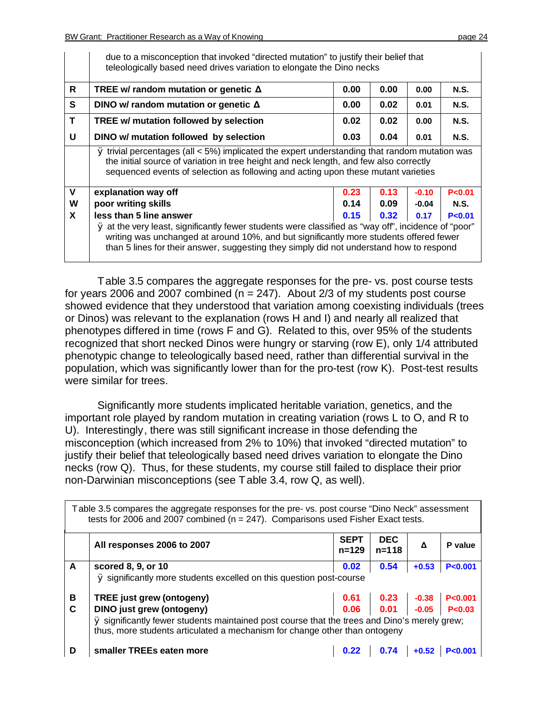|             | due to a misconception that invoked "directed mutation" to justify their belief that<br>teleologically based need drives variation to elongate the Dino necks                                                                                                                            |      |      |         |             |  |  |  |
|-------------|------------------------------------------------------------------------------------------------------------------------------------------------------------------------------------------------------------------------------------------------------------------------------------------|------|------|---------|-------------|--|--|--|
| R.          | TREE w/ random mutation or genetic $\Delta$                                                                                                                                                                                                                                              | 0.00 | 0.00 | 0.00    | <b>N.S.</b> |  |  |  |
| S.          | DINO w/ random mutation or genetic $\Delta$                                                                                                                                                                                                                                              | 0.00 | 0.02 | 0.01    | <b>N.S.</b> |  |  |  |
| T           | TREE w/ mutation followed by selection                                                                                                                                                                                                                                                   | 0.02 | 0.02 | 0.00    | <b>N.S.</b> |  |  |  |
| U           | DINO w/ mutation followed by selection                                                                                                                                                                                                                                                   | 0.03 | 0.04 | 0.01    | <b>N.S.</b> |  |  |  |
|             | $\emptyset$ trivial percentages (all < 5%) implicated the expert understanding that random mutation was<br>the initial source of variation in tree height and neck length, and few also correctly<br>sequenced events of selection as following and acting upon these mutant varieties   |      |      |         |             |  |  |  |
| $\mathbf v$ | explanation way off                                                                                                                                                                                                                                                                      | 0.23 | 0.13 | $-0.10$ | P < 0.01    |  |  |  |
| W           | poor writing skills                                                                                                                                                                                                                                                                      | 0.14 | 0.09 | $-0.04$ | N.S.        |  |  |  |
| X           | less than 5 line answer                                                                                                                                                                                                                                                                  | 0.15 | 0.32 | 0.17    | P < 0.01    |  |  |  |
|             | Ø at the very least, significantly fewer students were classified as "way off", incidence of "poor"<br>writing was unchanged at around 10%, and but significantly more students offered fewer<br>than 5 lines for their answer, suggesting they simply did not understand how to respond |      |      |         |             |  |  |  |

Table 3.5 compares the aggregate responses for the pre- vs. post course tests for years 2006 and 2007 combined ( $n = 247$ ). About 2/3 of my students post course showed evidence that they understood that variation among coexisting individuals (trees or Dinos) was relevant to the explanation (rows H and I) and nearly all realized that phenotypes differed in time (rows F and G). Related to this, over 95% of the students recognized that short necked Dinos were hungry or starving (row E), only 1/4 attributed phenotypic change to teleologically based need, rather than differential survival in the population, which was significantly lower than for the pro-test (row K). Post-test results were similar for trees.

Significantly more students implicated heritable variation, genetics, and the important role played by random mutation in creating variation (rows L to O, and R to U). Interestingly, there was still significant increase in those defending the misconception (which increased from 2% to 10%) that invoked "directed mutation" to justify their belief that teleologically based need drives variation to elongate the Dino necks (row Q). Thus, for these students, my course still failed to displace their prior non-Darwinian misconceptions (see Table 3.4, row Q, as well).

| Table 3.5 compares the aggregate responses for the pre- vs. post course "Dino Neck" assessment<br>tests for 2006 and 2007 combined ( $n = 247$ ). Comparisons used Fisher Exact tests. |                                                                                                                                                                            |                          |                         |               |           |  |  |
|----------------------------------------------------------------------------------------------------------------------------------------------------------------------------------------|----------------------------------------------------------------------------------------------------------------------------------------------------------------------------|--------------------------|-------------------------|---------------|-----------|--|--|
|                                                                                                                                                                                        | All responses 2006 to 2007                                                                                                                                                 | <b>SEPT</b><br>$n = 129$ | <b>DEC</b><br>$n = 118$ | Δ             | P value   |  |  |
| $\mathsf{A}$                                                                                                                                                                           | scored 8, 9, or 10                                                                                                                                                         | 0.02                     | 0.54                    | $+0.53$       | P < 0.001 |  |  |
|                                                                                                                                                                                        | Ø significantly more students excelled on this question post-course                                                                                                        |                          |                         |               |           |  |  |
| В                                                                                                                                                                                      | <b>TREE</b> just grew (ontogeny)                                                                                                                                           |                          | $0.61$ 0.23 -0.38       |               | P < 0.001 |  |  |
| C                                                                                                                                                                                      | <b>DINO</b> just grew (ontogeny)                                                                                                                                           | 0.06                     |                         | $0.01 - 0.05$ | P < 0.03  |  |  |
|                                                                                                                                                                                        | Ø significantly fewer students maintained post course that the trees and Dino's merely grew;<br>thus, more students articulated a mechanism for change other than ontogeny |                          |                         |               |           |  |  |
| D                                                                                                                                                                                      | smaller TREEs eaten more                                                                                                                                                   | 0.22                     | 0.74                    | $+0.52$       | P < 0.001 |  |  |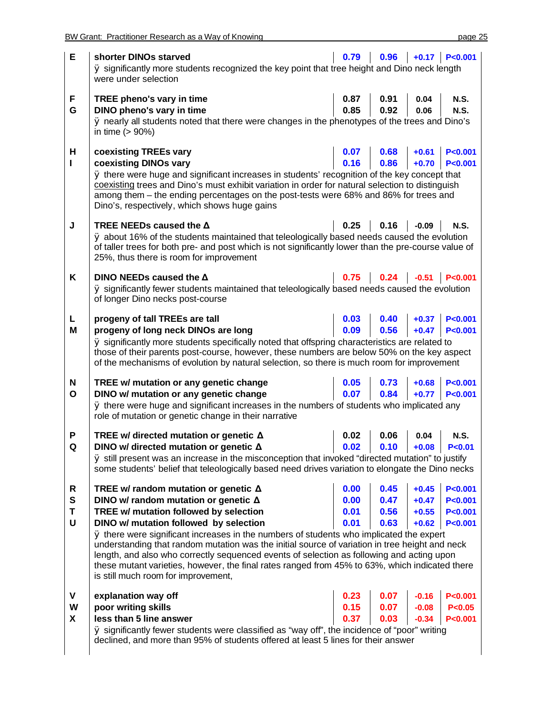| E            | shorter DINOs starved<br>Ø significantly more students recognized the key point that tree height and Dino neck length<br>were under selection                                                                                                                                            | 0.79 |      |         | $0.96 + 0.17$ P<0.001     |
|--------------|------------------------------------------------------------------------------------------------------------------------------------------------------------------------------------------------------------------------------------------------------------------------------------------|------|------|---------|---------------------------|
| F            | TREE pheno's vary in time                                                                                                                                                                                                                                                                | 0.87 | 0.91 | 0.04    | <b>N.S.</b>               |
| G            | DINO pheno's vary in time                                                                                                                                                                                                                                                                | 0.85 | 0.92 | 0.06    | <b>N.S.</b>               |
|              | Ø nearly all students noted that there were changes in the phenotypes of the trees and Dino's<br>in time $(> 90\%)$                                                                                                                                                                      |      |      |         |                           |
| н            | coexisting TREEs vary                                                                                                                                                                                                                                                                    | 0.07 | 0.68 | $+0.61$ | P < 0.001                 |
| L            | coexisting DINOs vary                                                                                                                                                                                                                                                                    | 0.16 | 0.86 | $+0.70$ | P < 0.001                 |
|              | Ø there were huge and significant increases in students' recognition of the key concept that<br>coexisting trees and Dino's must exhibit variation in order for natural selection to distinguish<br>among them - the ending percentages on the post-tests were 68% and 86% for trees and |      |      |         |                           |
|              | Dino's, respectively, which shows huge gains                                                                                                                                                                                                                                             |      |      |         |                           |
| J            | TREE NEEDs caused the $\Delta$                                                                                                                                                                                                                                                           | 0.25 | 0.16 | $-0.09$ | <b>N.S.</b>               |
|              | Ø about 16% of the students maintained that teleologically based needs caused the evolution<br>of taller trees for both pre- and post which is not significantly lower than the pre-course value of<br>25%, thus there is room for improvement                                           |      |      |         |                           |
| Κ            | DINO NEEDs caused the $\Delta$                                                                                                                                                                                                                                                           |      |      |         | $0.75$ 0.24 -0.51 P<0.001 |
|              | Ø significantly fewer students maintained that teleologically based needs caused the evolution<br>of longer Dino necks post-course                                                                                                                                                       |      |      |         |                           |
| L            | progeny of tall TREEs are tall                                                                                                                                                                                                                                                           | 0.03 | 0.40 | $+0.37$ | P < 0.001                 |
| M            | progeny of long neck DINOs are long                                                                                                                                                                                                                                                      | 0.09 | 0.56 | $+0.47$ | P < 0.001                 |
|              | Ø significantly more students specifically noted that offspring characteristics are related to                                                                                                                                                                                           |      |      |         |                           |
|              | those of their parents post-course, however, these numbers are below 50% on the key aspect                                                                                                                                                                                               |      |      |         |                           |
|              | of the mechanisms of evolution by natural selection, so there is much room for improvement                                                                                                                                                                                               |      |      |         |                           |
| N            | TREE w/ mutation or any genetic change                                                                                                                                                                                                                                                   | 0.05 | 0.73 | $+0.68$ | P < 0.001                 |
| $\mathbf{o}$ | DINO w/ mutation or any genetic change                                                                                                                                                                                                                                                   | 0.07 | 0.84 | $+0.77$ | P < 0.001                 |
|              | Ø there were huge and significant increases in the numbers of students who implicated any<br>role of mutation or genetic change in their narrative                                                                                                                                       |      |      |         |                           |
| P            | TREE w/ directed mutation or genetic $\Delta$                                                                                                                                                                                                                                            | 0.02 | 0.06 | 0.04    | <b>N.S.</b>               |
| Q            | DINO w/ directed mutation or genetic $\Delta$                                                                                                                                                                                                                                            | 0.02 | 0.10 | $+0.08$ | P < 0.01                  |
|              | Ø still present was an increase in the misconception that invoked "directed mutation" to justify                                                                                                                                                                                         |      |      |         |                           |
|              | some students' belief that teleologically based need drives variation to elongate the Dino necks                                                                                                                                                                                         |      |      |         |                           |
| R            | TREE w/ random mutation or genetic $\Delta$                                                                                                                                                                                                                                              | 0.00 | 0.45 | $+0.45$ | P < 0.001                 |
| S            | DINO w/ random mutation or genetic $\Delta$                                                                                                                                                                                                                                              | 0.00 | 0.47 | $+0.47$ | P < 0.001                 |
| T            | TREE w/ mutation followed by selection                                                                                                                                                                                                                                                   | 0.01 | 0.56 | $+0.55$ | P < 0.001                 |
| U            | DINO w/ mutation followed by selection                                                                                                                                                                                                                                                   | 0.01 | 0.63 | $+0.62$ | P < 0.001                 |
|              | Ø there were significant increases in the numbers of students who implicated the expert<br>understanding that random mutation was the initial source of variation in tree height and neck                                                                                                |      |      |         |                           |
|              | length, and also who correctly sequenced events of selection as following and acting upon                                                                                                                                                                                                |      |      |         |                           |
|              | these mutant varieties, however, the final rates ranged from 45% to 63%, which indicated there<br>is still much room for improvement,                                                                                                                                                    |      |      |         |                           |
| V            | explanation way off                                                                                                                                                                                                                                                                      | 0.23 | 0.07 | $-0.16$ | P < 0.001                 |
| W            | poor writing skills                                                                                                                                                                                                                                                                      | 0.15 | 0.07 | $-0.08$ | P < 0.05                  |
| X            | less than 5 line answer                                                                                                                                                                                                                                                                  | 0.37 | 0.03 | $-0.34$ | P < 0.001                 |
|              | Ø significantly fewer students were classified as "way off", the incidence of "poor" writing<br>declined, and more than 95% of students offered at least 5 lines for their answer                                                                                                        |      |      |         |                           |
|              |                                                                                                                                                                                                                                                                                          |      |      |         |                           |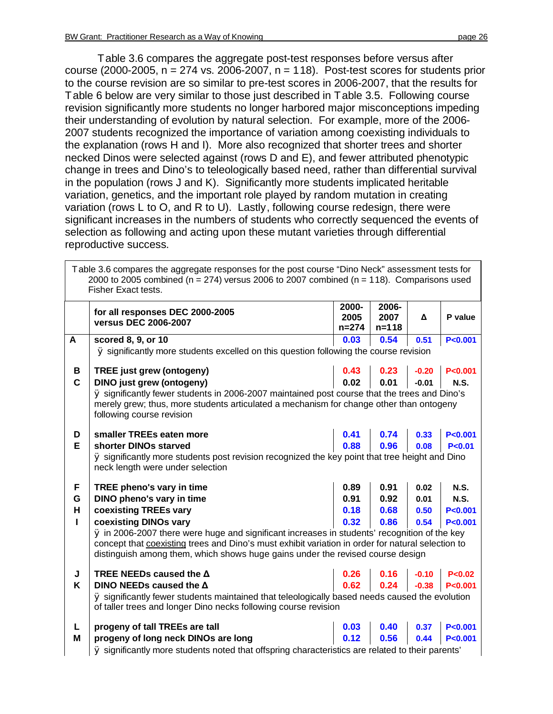$\overline{\Gamma}$ 

Table 3.6 compares the aggregate post-test responses before versus after course (2000-2005,  $n = 274$  vs. 2006-2007,  $n = 118$ ). Post-test scores for students prior to the course revision are so similar to pre-test scores in 2006-2007, that the results for Table 6 below are very similar to those just described in Table 3.5. Following course revision significantly more students no longer harbored major misconceptions impeding their understanding of evolution by natural selection. For example, more of the 2006- 2007 students recognized the importance of variation among coexisting individuals to the explanation (rows H and I). More also recognized that shorter trees and shorter necked Dinos were selected against (rows D and E), and fewer attributed phenotypic change in trees and Dino's to teleologically based need, rather than differential survival in the population (rows J and K). Significantly more students implicated heritable variation, genetics, and the important role played by random mutation in creating variation (rows L to O, and R to U). Lastly, following course redesign, there were significant increases in the numbers of students who correctly sequenced the events of selection as following and acting upon these mutant varieties through differential reproductive success.

|                                                                                                  | Table 3.6 compares the aggregate responses for the post course "Dino Neck" assessment tests for<br>2000 to 2005 combined ( $n = 274$ ) versus 2006 to 2007 combined ( $n = 118$ ). Comparisons used<br>Fisher Exact tests.                                                          |                            |                            |         |             |  |  |
|--------------------------------------------------------------------------------------------------|-------------------------------------------------------------------------------------------------------------------------------------------------------------------------------------------------------------------------------------------------------------------------------------|----------------------------|----------------------------|---------|-------------|--|--|
|                                                                                                  | for all responses DEC 2000-2005<br>versus DEC 2006-2007                                                                                                                                                                                                                             | 2000-<br>2005<br>$n = 274$ | 2006-<br>2007<br>$n = 118$ | Δ       | P value     |  |  |
| A                                                                                                | scored 8, 9, or 10                                                                                                                                                                                                                                                                  | 0.03                       | 0.54                       | 0.51    | P < 0.001   |  |  |
|                                                                                                  | Ø significantly more students excelled on this question following the course revision                                                                                                                                                                                               |                            |                            |         |             |  |  |
| В                                                                                                | <b>TREE just grew (ontogeny)</b>                                                                                                                                                                                                                                                    | 0.43                       | 0.23                       | $-0.20$ | P < 0.001   |  |  |
| $\mathbf c$                                                                                      | DINO just grew (ontogeny)                                                                                                                                                                                                                                                           | 0.02                       | 0.01                       | $-0.01$ | <b>N.S.</b> |  |  |
|                                                                                                  | Ø significantly fewer students in 2006-2007 maintained post course that the trees and Dino's<br>merely grew; thus, more students articulated a mechanism for change other than ontogeny<br>following course revision                                                                |                            |                            |         |             |  |  |
| D                                                                                                | smaller TREEs eaten more                                                                                                                                                                                                                                                            | 0.41                       | 0.74                       | 0.33    | P < 0.001   |  |  |
| Е                                                                                                | shorter DINOs starved                                                                                                                                                                                                                                                               | 0.88                       | 0.96                       | 0.08    | P < 0.01    |  |  |
|                                                                                                  | Ø significantly more students post revision recognized the key point that tree height and Dino<br>neck length were under selection                                                                                                                                                  |                            |                            |         |             |  |  |
| F                                                                                                | TREE pheno's vary in time                                                                                                                                                                                                                                                           | 0.89                       | 0.91                       | 0.02    | <b>N.S.</b> |  |  |
| G                                                                                                | DINO pheno's vary in time                                                                                                                                                                                                                                                           | 0.91                       | 0.92                       | 0.01    | <b>N.S.</b> |  |  |
| Н                                                                                                | coexisting TREEs vary                                                                                                                                                                                                                                                               | 0.18                       | 0.68                       | 0.50    | P < 0.001   |  |  |
| L                                                                                                | coexisting DINOs vary                                                                                                                                                                                                                                                               | 0.32                       | 0.86                       | 0.54    | P < 0.001   |  |  |
|                                                                                                  | Ø in 2006-2007 there were huge and significant increases in students' recognition of the key<br>concept that coexisting trees and Dino's must exhibit variation in order for natural selection to<br>distinguish among them, which shows huge gains under the revised course design |                            |                            |         |             |  |  |
| J                                                                                                | TREE NEEDs caused the $\Delta$                                                                                                                                                                                                                                                      | 0.26                       | 0.16                       | $-0.10$ | P < 0.02    |  |  |
| K                                                                                                | DINO NEEDs caused the $\Delta$                                                                                                                                                                                                                                                      | 0.62                       | 0.24                       | $-0.38$ | P < 0.001   |  |  |
|                                                                                                  | Ø significantly fewer students maintained that teleologically based needs caused the evolution<br>of taller trees and longer Dino necks following course revision                                                                                                                   |                            |                            |         |             |  |  |
| L                                                                                                | progeny of tall TREEs are tall                                                                                                                                                                                                                                                      | 0.03                       | 0.40                       | 0.37    | P < 0.001   |  |  |
| M                                                                                                | progeny of long neck DINOs are long                                                                                                                                                                                                                                                 | 0.12                       | 0.56                       | 0.44    | P < 0.001   |  |  |
| Ø significantly more students noted that offspring characteristics are related to their parents' |                                                                                                                                                                                                                                                                                     |                            |                            |         |             |  |  |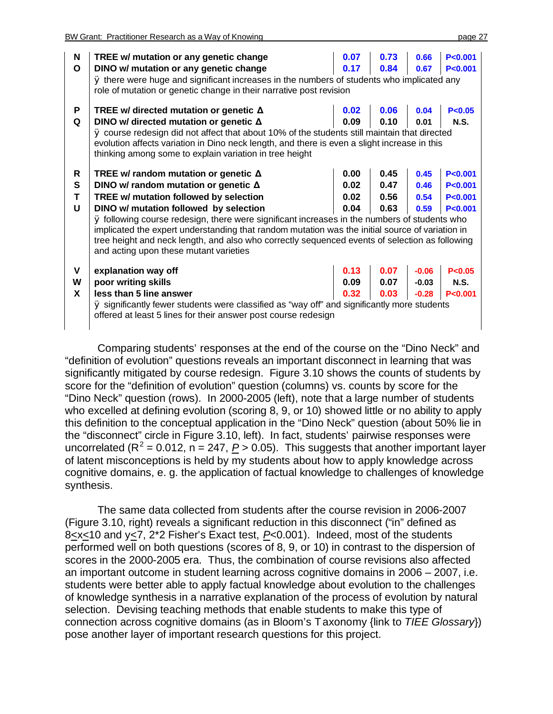| N<br>O           | TREE w/ mutation or any genetic change<br>DINO w/ mutation or any genetic change<br>Ø there were huge and significant increases in the numbers of students who implicated any<br>role of mutation or genetic change in their narrative post revision                                                                                                                                                                                                                                                                          | 0.07<br>0.17                 | 0.73<br>0.84                 | 0.66<br>0.67                  | P < 0.001<br>P < 0.001                           |
|------------------|-------------------------------------------------------------------------------------------------------------------------------------------------------------------------------------------------------------------------------------------------------------------------------------------------------------------------------------------------------------------------------------------------------------------------------------------------------------------------------------------------------------------------------|------------------------------|------------------------------|-------------------------------|--------------------------------------------------|
| P<br>Q           | TREE w/ directed mutation or genetic $\Delta$<br>DINO w/ directed mutation or genetic $\Delta$<br>Ø course redesign did not affect that about 10% of the students still maintain that directed<br>evolution affects variation in Dino neck length, and there is even a slight increase in this<br>thinking among some to explain variation in tree height                                                                                                                                                                     | 0.02<br>0.09                 | 0.06<br>0.10                 | 0.04<br>0.01                  | P < 0.05<br><b>N.S.</b>                          |
| R<br>S<br>т<br>U | TREE w/ random mutation or genetic $\Delta$<br>DINO w/ random mutation or genetic $\Delta$<br>TREE w/ mutation followed by selection<br>DINO w/ mutation followed by selection<br>Ø following course redesign, there were significant increases in the numbers of students who<br>implicated the expert understanding that random mutation was the initial source of variation in<br>tree height and neck length, and also who correctly sequenced events of selection as following<br>and acting upon these mutant varieties | 0.00<br>0.02<br>0.02<br>0.04 | 0.45<br>0.47<br>0.56<br>0.63 | 0.45<br>0.46<br>0.54<br>0.59  | P < 0.001<br>P < 0.001<br>P < 0.001<br>P < 0.001 |
| V<br>W<br>X      | explanation way off<br>poor writing skills<br>less than 5 line answer<br>Ø significantly fewer students were classified as "way off" and significantly more students<br>offered at least 5 lines for their answer post course redesign                                                                                                                                                                                                                                                                                        | 0.13<br>0.09<br>0.32         | 0.07<br>0.07<br>0.03         | $-0.06$<br>$-0.03$<br>$-0.28$ | P < 0.05<br><b>N.S.</b><br>P < 0.001             |

Comparing students' responses at the end of the course on the "Dino Neck" and "definition of evolution" questions reveals an important disconnect in learning that was significantly mitigated by course redesign. Figure 3.10 shows the counts of students by score for the "definition of evolution" question (columns) vs. counts by score for the "Dino Neck" question (rows). In 2000-2005 (left), note that a large number of students who excelled at defining evolution (scoring 8, 9, or 10) showed little or no ability to apply this definition to the conceptual application in the "Dino Neck" question (about 50% lie in the "disconnect" circle in Figure 3.10, left). In fact, students' pairwise responses were uncorrelated ( $R^2$  = 0.012,  $n = 247$ ,  $P > 0.05$ ). This suggests that another important layer of latent misconceptions is held by my students about how to apply knowledge across cognitive domains, e. g. the application of factual knowledge to challenges of knowledge synthesis.

The same data collected from students after the course revision in 2006-2007 (Figure 3.10, right) reveals a significant reduction in this disconnect ("in" defined as 8<x < 10 and y < 7, 2<sup>\*</sup>2 Fisher's Exact test, P < 0.001). Indeed, most of the students performed well on both questions (scores of 8, 9, or 10) in contrast to the dispersion of scores in the 2000-2005 era. Thus, the combination of course revisions also affected an important outcome in student learning across cognitive domains in 2006 – 2007, i.e. students were better able to apply factual knowledge about evolution to the challenges of knowledge synthesis in a narrative explanation of the process of evolution by natural selection. Devising teaching methods that enable students to make this type of connection across cognitive domains (as in Bloom's Taxonomy {link to *TIEE Glossary*}) pose another layer of important research questions for this project.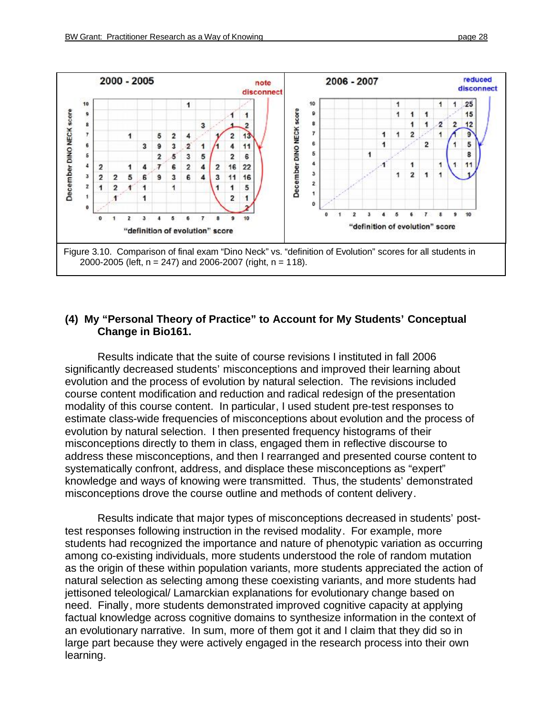

#### **(4) My "Personal Theory of Practice" to Account for My Students' Conceptual Change in Bio161.**

Results indicate that the suite of course revisions I instituted in fall 2006 significantly decreased students' misconceptions and improved their learning about evolution and the process of evolution by natural selection. The revisions included course content modification and reduction and radical redesign of the presentation modality of this course content. In particular, I used student pre-test responses to estimate class-wide frequencies of misconceptions about evolution and the process of evolution by natural selection. I then presented frequency histograms of their misconceptions directly to them in class, engaged them in reflective discourse to address these misconceptions, and then I rearranged and presented course content to systematically confront, address, and displace these misconceptions as "expert" knowledge and ways of knowing were transmitted. Thus, the students' demonstrated misconceptions drove the course outline and methods of content delivery.

Results indicate that major types of misconceptions decreased in students' posttest responses following instruction in the revised modality. For example, more students had recognized the importance and nature of phenotypic variation as occurring among co-existing individuals, more students understood the role of random mutation as the origin of these within population variants, more students appreciated the action of natural selection as selecting among these coexisting variants, and more students had jettisoned teleological/ Lamarckian explanations for evolutionary change based on need. Finally, more students demonstrated improved cognitive capacity at applying factual knowledge across cognitive domains to synthesize information in the context of an evolutionary narrative. In sum, more of them got it and I claim that they did so in large part because they were actively engaged in the research process into their own learning.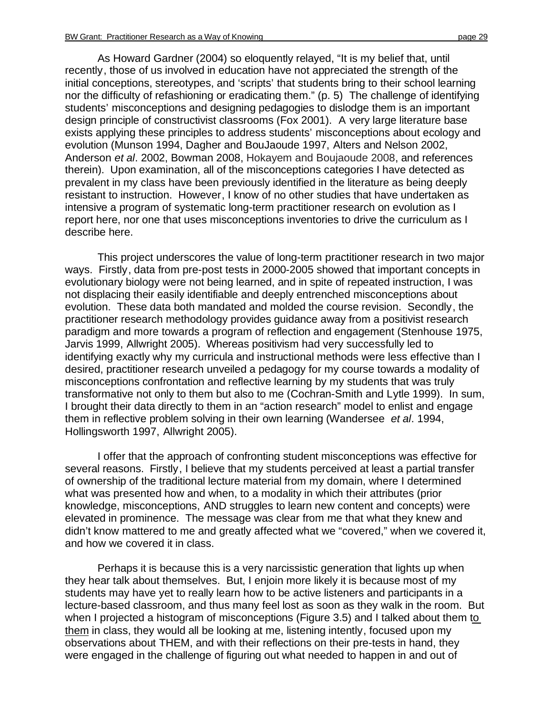As Howard Gardner (2004) so eloquently relayed, "It is my belief that, until recently, those of us involved in education have not appreciated the strength of the initial conceptions, stereotypes, and 'scripts' that students bring to their school learning nor the difficulty of refashioning or eradicating them." (p. 5) The challenge of identifying students' misconceptions and designing pedagogies to dislodge them is an important design principle of constructivist classrooms (Fox 2001). A very large literature base exists applying these principles to address students' misconceptions about ecology and evolution (Munson 1994, Dagher and BouJaoude 1997, Alters and Nelson 2002, Anderson *et al*. 2002, Bowman 2008, Hokayem and Boujaoude 2008, and references therein). Upon examination, all of the misconceptions categories I have detected as prevalent in my class have been previously identified in the literature as being deeply resistant to instruction. However, I know of no other studies that have undertaken as intensive a program of systematic long-term practitioner research on evolution as I report here, nor one that uses misconceptions inventories to drive the curriculum as I describe here.

This project underscores the value of long-term practitioner research in two major ways. Firstly, data from pre-post tests in 2000-2005 showed that important concepts in evolutionary biology were not being learned, and in spite of repeated instruction, I was not displacing their easily identifiable and deeply entrenched misconceptions about evolution. These data both mandated and molded the course revision. Secondly, the practitioner research methodology provides guidance away from a positivist research paradigm and more towards a program of reflection and engagement (Stenhouse 1975, Jarvis 1999, Allwright 2005). Whereas positivism had very successfully led to identifying exactly why my curricula and instructional methods were less effective than I desired, practitioner research unveiled a pedagogy for my course towards a modality of misconceptions confrontation and reflective learning by my students that was truly transformative not only to them but also to me (Cochran-Smith and Lytle 1999). In sum, I brought their data directly to them in an "action research" model to enlist and engage them in reflective problem solving in their own learning (Wandersee *et al*. 1994, Hollingsworth 1997, Allwright 2005).

I offer that the approach of confronting student misconceptions was effective for several reasons. Firstly, I believe that my students perceived at least a partial transfer of ownership of the traditional lecture material from my domain, where I determined what was presented how and when, to a modality in which their attributes (prior knowledge, misconceptions, AND struggles to learn new content and concepts) were elevated in prominence. The message was clear from me that what they knew and didn't know mattered to me and greatly affected what we "covered," when we covered it, and how we covered it in class.

Perhaps it is because this is a very narcissistic generation that lights up when they hear talk about themselves. But, I enjoin more likely it is because most of my students may have yet to really learn how to be active listeners and participants in a lecture-based classroom, and thus many feel lost as soon as they walk in the room. But when I projected a histogram of misconceptions (Figure 3.5) and I talked about them to them in class, they would all be looking at me, listening intently, focused upon my observations about THEM, and with their reflections on their pre-tests in hand, they were engaged in the challenge of figuring out what needed to happen in and out of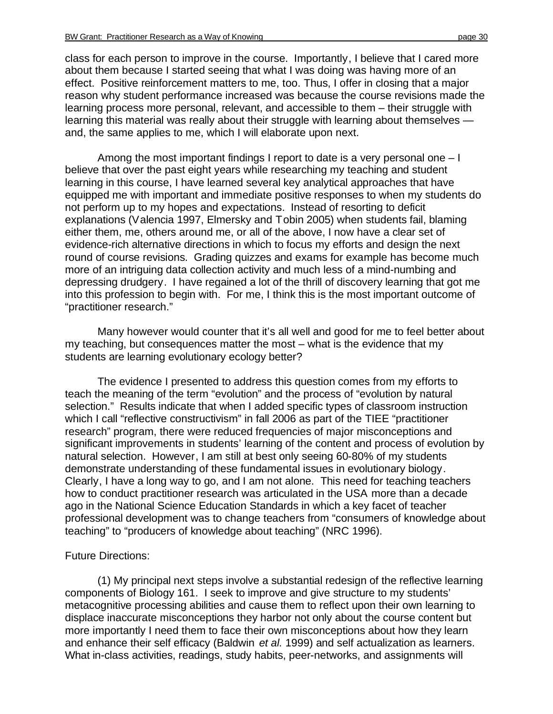class for each person to improve in the course. Importantly, I believe that I cared more about them because I started seeing that what I was doing was having more of an effect. Positive reinforcement matters to me, too. Thus, I offer in closing that a major reason why student performance increased was because the course revisions made the learning process more personal, relevant, and accessible to them – their struggle with learning this material was really about their struggle with learning about themselves and, the same applies to me, which I will elaborate upon next.

Among the most important findings I report to date is a very personal one – I believe that over the past eight years while researching my teaching and student learning in this course, I have learned several key analytical approaches that have equipped me with important and immediate positive responses to when my students do not perform up to my hopes and expectations. Instead of resorting to deficit explanations (Valencia 1997, Elmersky and Tobin 2005) when students fail, blaming either them, me, others around me, or all of the above, I now have a clear set of evidence-rich alternative directions in which to focus my efforts and design the next round of course revisions. Grading quizzes and exams for example has become much more of an intriguing data collection activity and much less of a mind-numbing and depressing drudgery. I have regained a lot of the thrill of discovery learning that got me into this profession to begin with. For me, I think this is the most important outcome of "practitioner research."

Many however would counter that it's all well and good for me to feel better about my teaching, but consequences matter the most – what is the evidence that my students are learning evolutionary ecology better?

The evidence I presented to address this question comes from my efforts to teach the meaning of the term "evolution" and the process of "evolution by natural selection." Results indicate that when I added specific types of classroom instruction which I call "reflective constructivism" in fall 2006 as part of the TIEE "practitioner research" program, there were reduced frequencies of major misconceptions and significant improvements in students' learning of the content and process of evolution by natural selection. However, I am still at best only seeing 60-80% of my students demonstrate understanding of these fundamental issues in evolutionary biology. Clearly, I have a long way to go, and I am not alone. This need for teaching teachers how to conduct practitioner research was articulated in the USA more than a decade ago in the National Science Education Standards in which a key facet of teacher professional development was to change teachers from "consumers of knowledge about teaching" to "producers of knowledge about teaching" (NRC 1996).

#### Future Directions:

(1) My principal next steps involve a substantial redesign of the reflective learning components of Biology 161. I seek to improve and give structure to my students' metacognitive processing abilities and cause them to reflect upon their own learning to displace inaccurate misconceptions they harbor not only about the course content but more importantly I need them to face their own misconceptions about how they learn and enhance their self efficacy (Baldwin *et al.* 1999) and self actualization as learners. What in-class activities, readings, study habits, peer-networks, and assignments will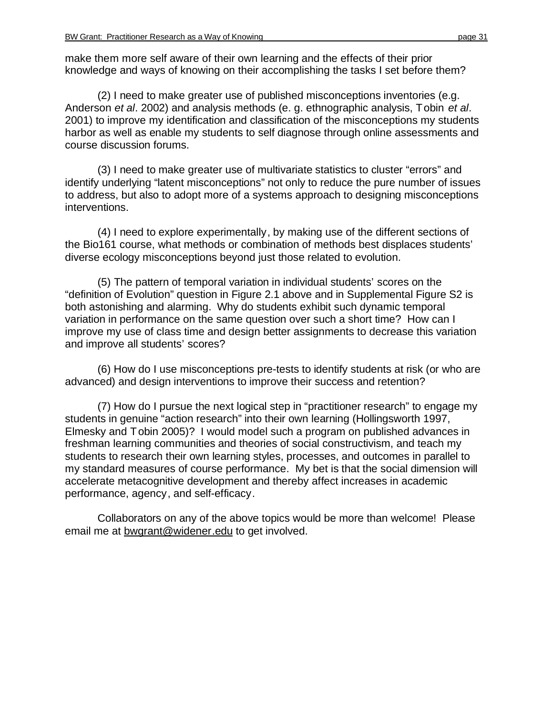make them more self aware of their own learning and the effects of their prior knowledge and ways of knowing on their accomplishing the tasks I set before them?

(2) I need to make greater use of published misconceptions inventories (e.g. Anderson *et al*. 2002) and analysis methods (e. g. ethnographic analysis, Tobin *et al*. 2001) to improve my identification and classification of the misconceptions my students harbor as well as enable my students to self diagnose through online assessments and course discussion forums.

(3) I need to make greater use of multivariate statistics to cluster "errors" and identify underlying "latent misconceptions" not only to reduce the pure number of issues to address, but also to adopt more of a systems approach to designing misconceptions interventions.

(4) I need to explore experimentally, by making use of the different sections of the Bio161 course, what methods or combination of methods best displaces students' diverse ecology misconceptions beyond just those related to evolution.

(5) The pattern of temporal variation in individual students' scores on the "definition of Evolution" question in Figure 2.1 above and in Supplemental Figure S2 is both astonishing and alarming. Why do students exhibit such dynamic temporal variation in performance on the same question over such a short time? How can I improve my use of class time and design better assignments to decrease this variation and improve all students' scores?

(6) How do I use misconceptions pre-tests to identify students at risk (or who are advanced) and design interventions to improve their success and retention?

(7) How do I pursue the next logical step in "practitioner research" to engage my students in genuine "action research" into their own learning (Hollingsworth 1997, Elmesky and Tobin 2005)? I would model such a program on published advances in freshman learning communities and theories of social constructivism, and teach my students to research their own learning styles, processes, and outcomes in parallel to my standard measures of course performance. My bet is that the social dimension will accelerate metacognitive development and thereby affect increases in academic performance, agency, and self-efficacy.

Collaborators on any of the above topics would be more than welcome! Please email me at [bwgrant@widener.edu](mailto:bwgrant@widener.edu) to get involved.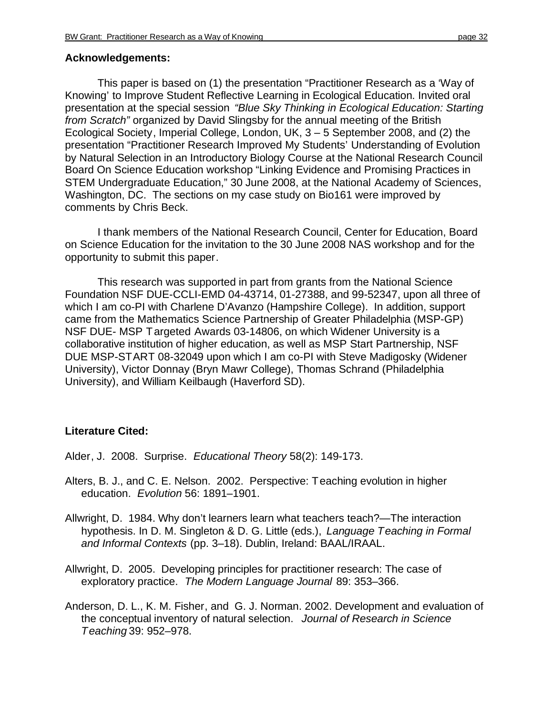#### **Acknowledgements:**

This paper is based on (1) the presentation "Practitioner Research as a 'Way of Knowing' to Improve Student Reflective Learning in Ecological Education. Invited oral presentation at the special session *"Blue Sky Thinking in Ecological Education: Starting from Scratch"* organized by David Slingsby for the annual meeting of the British Ecological Society, Imperial College, London, UK, 3 – 5 September 2008, and (2) the presentation "Practitioner Research Improved My Students' Understanding of Evolution by Natural Selection in an Introductory Biology Course at the National Research Council Board On Science Education workshop "Linking Evidence and Promising Practices in STEM Undergraduate Education," 30 June 2008, at the National Academy of Sciences, Washington, DC. The sections on my case study on Bio161 were improved by comments by Chris Beck.

I thank members of the National Research Council, Center for Education, Board on Science Education for the invitation to the 30 June 2008 NAS workshop and for the opportunity to submit this paper.

This research was supported in part from grants from the National Science Foundation NSF DUE-CCLI-EMD 04-43714, 01-27388, and 99-52347, upon all three of which I am co-PI with Charlene D'Avanzo (Hampshire College). In addition, support came from the Mathematics Science Partnership of Greater Philadelphia (MSP-GP) NSF DUE- MSP Targeted Awards 03-14806, on which Widener University is a collaborative institution of higher education, as well as MSP Start Partnership, NSF DUE MSP-START 08-32049 upon which I am co-PI with Steve Madigosky (Widener University), Victor Donnay (Bryn Mawr College), Thomas Schrand (Philadelphia University), and William Keilbaugh (Haverford SD).

#### **Literature Cited:**

Alder, J. 2008. Surprise. *Educational Theory* 58(2): 149-173.

- Alters, B. J., and C. E. Nelson. 2002. Perspective: Teaching evolution in higher education. *Evolution* 56: 1891–1901.
- Allwright, D. 1984. Why don't learners learn what teachers teach?—The interaction hypothesis. In D. M. Singleton & D. G. Little (eds.), *Language Teaching in Formal and Informal Contexts* (pp. 3–18). Dublin, Ireland: BAAL/IRAAL.
- Allwright, D. 2005. Developing principles for practitioner research: The case of exploratory practice. *The Modern Language Journal* 89: 353–366.
- Anderson, D. L., K. M. Fisher, and G. J. Norman. 2002. Development and evaluation of the conceptual inventory of natural selection. *Journal of Research in Science Teaching* 39: 952–978.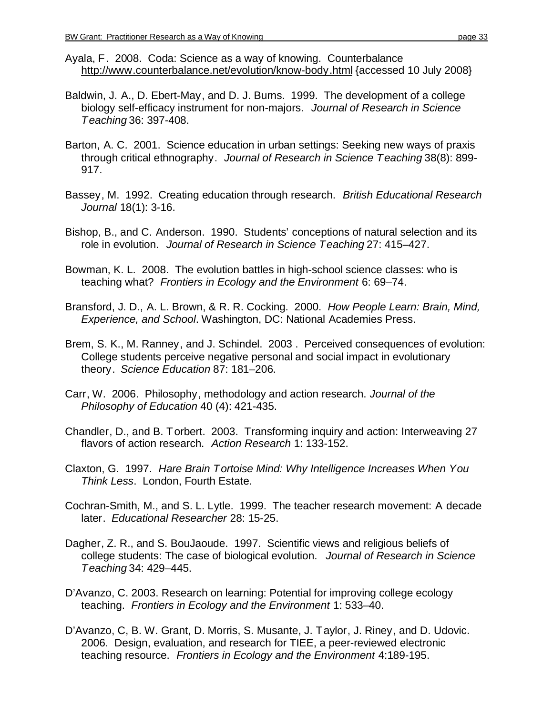- Ayala, F. 2008. Coda: Science as a way of knowing. Counterbalance <http://www.counterbalance.net/evolution/know-body.html> {accessed 10 July 2008}
- Baldwin, J. A., D. Ebert-May, and D. J. Burns. 1999. The development of a college biology self-efficacy instrument for non-majors. *Journal of Research in Science Teaching* 36: 397-408.
- Barton, A. C. 2001. Science education in urban settings: Seeking new ways of praxis through critical ethnography. *Journal of Research in Science Teaching* 38(8): 899- 917.
- Bassey, M. 1992. Creating education through research. *British Educational Research Journal* 18(1): 3-16.
- Bishop, B., and C. Anderson. 1990. Students' conceptions of natural selection and its role in evolution. *Journal of Research in Science Teaching* 27: 415–427.
- Bowman, K. L. 2008. The evolution battles in high-school science classes: who is teaching what? *Frontiers in Ecology and the Environment* 6: 69–74.
- Bransford, J. D., A. L. Brown, & R. R. Cocking. 2000. *How People Learn: Brain, Mind, Experience, and School*. Washington, DC: National Academies Press.
- Brem, S. K., M. Ranney, and J. Schindel. 2003 . Perceived consequences of evolution: College students perceive negative personal and social impact in evolutionary theory. *Science Education* 87: 181–206.
- Carr, W. 2006. Philosophy, methodology and action research. *Journal of the Philosophy of Education* 40 (4): 421-435.
- Chandler, D., and B. Torbert. 2003. Transforming inquiry and action: Interweaving 27 flavors of action research. *Action Research* 1: 133-152.
- Claxton, G. 1997. *Hare Brain Tortoise Mind: Why Intelligence Increases When You Think Less*. London, Fourth Estate.
- Cochran-Smith, M., and S. L. Lytle. 1999. The teacher research movement: A decade later. *Educational Researcher* 28: 15-25.
- Dagher, Z. R., and S. BouJaoude. 1997. Scientific views and religious beliefs of college students: The case of biological evolution. *Journal of Research in Science Teaching* 34: 429–445.
- D'Avanzo, C. 2003. Research on learning: Potential for improving college ecology teaching. *Frontiers in Ecology and the Environment* 1: 533–40.
- D'Avanzo, C, B. W. Grant, D. Morris, S. Musante, J. Taylor, J. Riney, and D. Udovic. 2006. Design, evaluation, and research for TIEE, a peer-reviewed electronic teaching resource. *Frontiers in Ecology and the Environment* 4:189-195.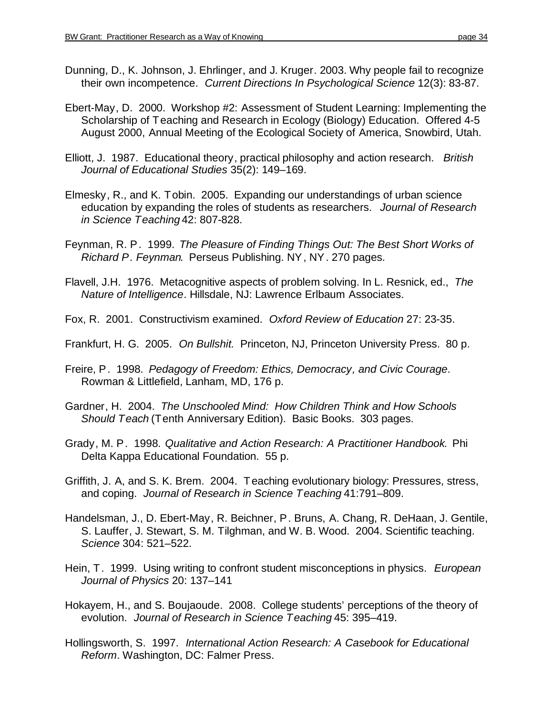- Dunning, D., K. Johnson, J. Ehrlinger, and J. Kruger. 2003. Why people fail to recognize their own incompetence. *Current Directions In Psychological Science* 12(3): 83-87.
- Ebert-May, D. 2000. Workshop #2: Assessment of Student Learning: Implementing the Scholarship of Teaching and Research in Ecology (Biology) Education. Offered 4-5 August 2000, Annual Meeting of the Ecological Society of America, Snowbird, Utah.
- Elliott, J. 1987. Educational theory, practical philosophy and action research. *British Journal of Educational Studies* 35(2): 149–169.
- Elmesky, R., and K. Tobin. 2005. Expanding our understandings of urban science education by expanding the roles of students as researchers. *Journal of Research in Science Teaching* 42: 807-828.
- Feynman, R. P. 1999. *The Pleasure of Finding Things Out: The Best Short Works of Richard P. Feynman*. Perseus Publishing. NY, NY. 270 pages.
- Flavell, J.H. 1976. Metacognitive aspects of problem solving. In L. Resnick, ed., *The Nature of Intelligence*. Hillsdale, NJ: Lawrence Erlbaum Associates.
- Fox, R. 2001. Constructivism examined. *Oxford Review of Education* 27: 23-35.
- Frankfurt, H. G. 2005. *On Bullshit.* Princeton, NJ, Princeton University Press. 80 p.
- Freire, P. 1998. *Pedagogy of Freedom: Ethics, Democracy, and Civic Courage*. Rowman & Littlefield, Lanham, MD, 176 p.
- Gardner, H. 2004. *The Unschooled Mind: How Children Think and How Schools Should Teach* (Tenth Anniversary Edition). Basic Books. 303 pages.
- Grady, M. P. 1998. *Qualitative and Action Research: A Practitioner Handbook.* Phi Delta Kappa Educational Foundation. 55 p.
- Griffith, J. A, and S. K. Brem. 2004. Teaching evolutionary biology: Pressures, stress, and coping. *Journal of Research in Science Teaching* 41:791–809.
- Handelsman, J., D. Ebert-May, R. Beichner, P. Bruns, A. Chang, R. DeHaan, J. Gentile, S. Lauffer, J. Stewart, S. M. Tilghman, and W. B. Wood. 2004. Scientific teaching. *Science* 304: 521–522.
- Hein, T. 1999. Using writing to confront student misconceptions in physics. *European Journal of Physics* 20: 137–141
- Hokayem, H., and S. Boujaoude. 2008. College students' perceptions of the theory of evolution. *Journal of Research in Science Teaching* 45: 395–419.
- Hollingsworth, S. 1997. *International Action Research: A Casebook for Educational Reform*. Washington, DC: Falmer Press.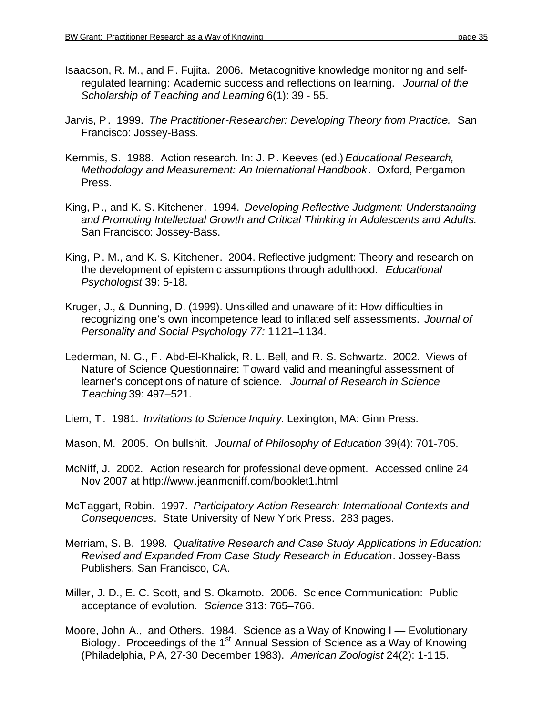- Isaacson, R. M., and F. Fujita. 2006. Metacognitive knowledge monitoring and selfregulated learning: Academic success and reflections on learning. *Journal of the Scholarship of Teaching and Learning* 6(1): 39 - 55.
- Jarvis, P. 1999. *The Practitioner-Researcher: Developing Theory from Practice.* San Francisco: Jossey-Bass.
- Kemmis, S. 1988. Action research. In: J. P. Keeves (ed.) *Educational Research, Methodology and Measurement: An International Handbook*. Oxford, Pergamon Press.
- King, P., and K. S. Kitchener. 1994. *Developing Reflective Judgment: Understanding and Promoting Intellectual Growth and Critical Thinking in Adolescents and Adults*. San Francisco: Jossey-Bass.
- King, P. M., and K. S. Kitchener. 2004. Reflective judgment: Theory and research on the development of epistemic assumptions through adulthood. *Educational Psychologist* 39: 5-18.
- Kruger, J., & Dunning, D. (1999). Unskilled and unaware of it: How difficulties in recognizing one's own incompetence lead to inflated self assessments. *Journal of Personality and Social Psychology 77:* 1121–1134.
- Lederman, N. G., F. Abd-El-Khalick, R. L. Bell, and R. S. Schwartz. 2002. Views of Nature of Science Questionnaire: Toward valid and meaningful assessment of learner's conceptions of nature of science. *Journal of Research in Science Teaching* 39: 497–521.
- Liem, T. 1981. *Invitations to Science Inquiry*. Lexington, MA: Ginn Press.
- Mason, M. 2005. On bullshit. *Journal of Philosophy of Education* 39(4): 701-705.
- McNiff, J. 2002. Action research for professional development. Accessed online 24 Nov 2007 at <http://www.jeanmcniff.com/booklet1.html>
- McTaggart, Robin. 1997. *Participatory Action Research: International Contexts and Consequences*. State University of New York Press. 283 pages.
- Merriam, S. B. 1998. *Qualitative Research and Case Study Applications in Education: Revised and Expanded From Case Study Research in Education*. Jossey-Bass Publishers, San Francisco, CA.
- Miller, J. D., E. C. Scott, and S. Okamoto. 2006. Science Communication: Public acceptance of evolution. *Science* 313: 765–766.
- Moore, John A., and Others. 1984. Science as a Way of Knowing I Evolutionary Biology. Proceedings of the 1<sup>st</sup> Annual Session of Science as a Way of Knowing (Philadelphia, PA, 27-30 December 1983). *American Zoologist* 24(2): 1-115.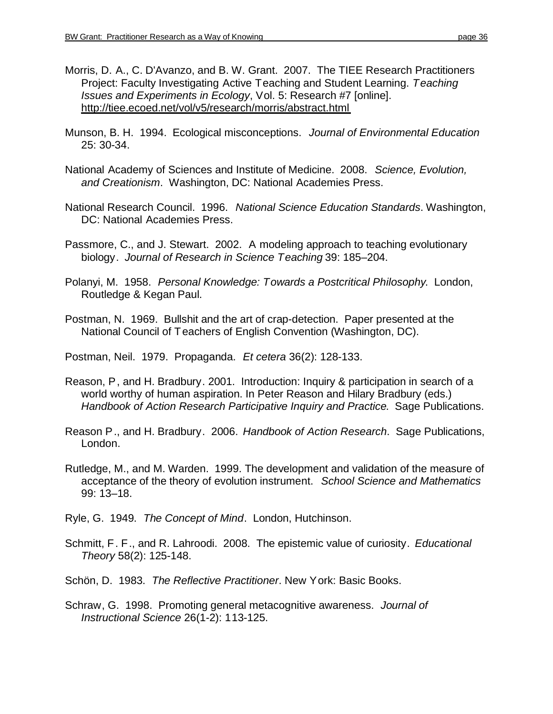- Morris, D. A., C. D'Avanzo, and B. W. Grant. 2007. The TIEE Research Practitioners Project: Faculty Investigating Active Teaching and Student Learning. *Teaching Issues and Experiments in Ecology*, Vol. 5: Research #7 [online]. <http://tiee.ecoed.net/vol/v5/research/morris/abstract.html>
- Munson, B. H. 1994. Ecological misconceptions. *Journal of Environmental Education* 25: 30-34.
- National Academy of Sciences and Institute of Medicine. 2008. *Science, Evolution, and Creationism*. Washington, DC: National Academies Press.
- National Research Council. 1996. *National Science Education Standards*. Washington, DC: National Academies Press.
- Passmore, C., and J. Stewart. 2002. A modeling approach to teaching evolutionary biology. *Journal of Research in Science Teaching* 39: 185–204.
- Polanyi, M. 1958. *Personal Knowledge: Towards a Postcritical Philosophy*. London, Routledge & Kegan Paul.
- Postman, N. 1969. Bullshit and the art of crap-detection. Paper presented at the National Council of Teachers of English Convention (Washington, DC).

Postman, Neil. 1979. Propaganda. *Et cetera* 36(2): 128-133.

- Reason, P, and H. Bradbury. 2001. Introduction: Inquiry & participation in search of a world worthy of human aspiration. In Peter Reason and Hilary Bradbury (eds.) *Handbook of Action Research Participative Inquiry and Practice*. Sage Publications.
- Reason P., and H. Bradbury. 2006. *Handbook of Action Research*. Sage Publications, London.
- Rutledge, M., and M. Warden. 1999. The development and validation of the measure of acceptance of the theory of evolution instrument. *School Science and Mathematics* 99: 13–18.

Ryle, G. 1949. *The Concept of Mind*. London, Hutchinson.

Schmitt, F. F., and R. Lahroodi. 2008. The epistemic value of curiosity. *Educational Theory* 58(2): 125-148.

Schön, D. 1983. *The Reflective Practitioner*. New York: Basic Books.

Schraw, G. 1998. Promoting general metacognitive awareness. *Journal of Instructional Science* 26(1-2): 113-125.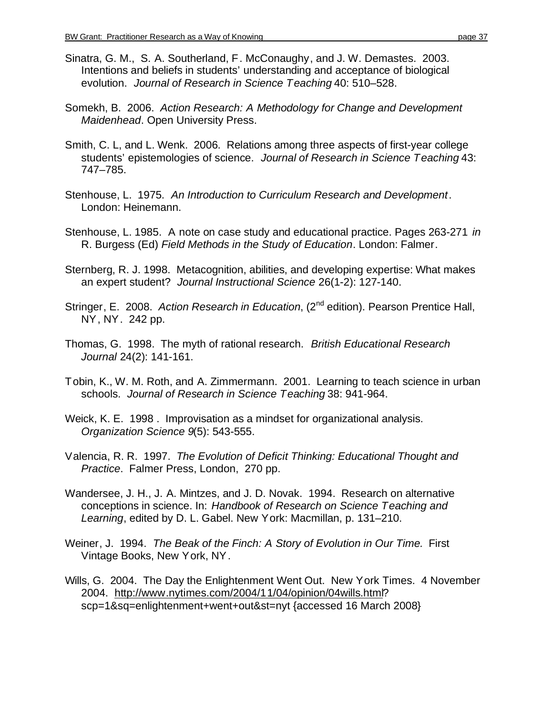- Sinatra, G. M., S. A. Southerland, F. McConaughy, and J. W. Demastes. 2003. Intentions and beliefs in students' understanding and acceptance of biological evolution. *Journal of Research in Science Teaching* 40: 510–528.
- Somekh, B. 2006. *Action Research: A Methodology for Change and Development Maidenhead*. Open University Press.
- Smith, C. L, and L. Wenk. 2006. Relations among three aspects of first-year college students' epistemologies of science. *Journal of Research in Science Teaching* 43: 747–785.
- Stenhouse, L. 1975. *An Introduction to Curriculum Research and Development*. London: Heinemann.
- Stenhouse, L. 1985. A note on case study and educational practice. Pages 263-271 *in* R. Burgess (Ed) *Field Methods in the Study of Education*. London: Falmer.
- Sternberg, R. J. 1998. Metacognition, abilities, and developing expertise: What makes an expert student? *Journal Instructional Science* 26(1-2): 127-140.
- Stringer, E. 2008. *Action Research in Education*, (2<sup>nd</sup> edition). Pearson Prentice Hall, NY, NY. 242 pp.
- Thomas, G. 1998. The myth of rational research. *British Educational Research Journal* 24(2): 141-161.
- Tobin, K., W. M. Roth, and A. Zimmermann. 2001. Learning to teach science in urban schools. *Journal of Research in Science Teaching* 38: 941-964.
- Weick, K. E. 1998 . Improvisation as a mindset for organizational analysis. *Organization Science 9*(5): 543-555.
- Valencia, R. R. 1997. *The Evolution of Deficit Thinking: Educational Thought and Practice*. Falmer Press, London, 270 pp.
- Wandersee, J. H., J. A. Mintzes, and J. D. Novak. 1994. Research on alternative conceptions in science. In: *Handbook of Research on Science Teaching and Learning*, edited by D. L. Gabel. New York: Macmillan, p. 131–210.
- Weiner, J. 1994. *The Beak of the Finch: A Story of Evolution in Our Time.* First Vintage Books, New York, NY.
- Wills, G. 2004. The Day the Enlightenment Went Out. New York Times. 4 November 2004. <http://www.nytimes.com/2004/11/04/opinion/04wills.html>? scp=1&sq=enlightenment+went+out&st=nyt {accessed 16 March 2008}